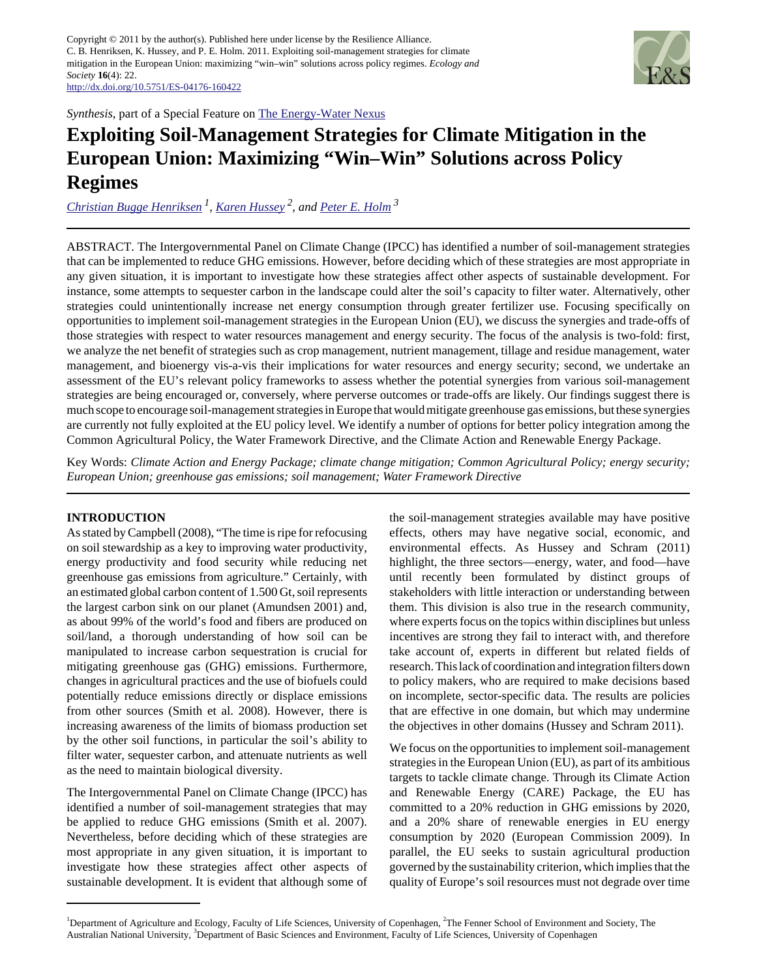Copyright © 2011 by the author(s). Published here under license by the Resilience Alliance. C. B. Henriksen, K. Hussey, and P. E. Holm. 2011. Exploiting soil-management strategies for climate mitigation in the European Union: maximizing "win–win" solutions across policy regimes. *Ecology and Society* **16**(4): 22.

<http://dx.doi.org/10.5751/ES-04176-160422>

*Synthesis*, part of a Special Feature on [The Energy-Water Nexus](http://www.ecologyandsociety.org/viewissue.php?sf=61)

# **Exploiting Soil-Management Strategies for Climate Mitigation in the European Union: Maximizing "Win–Win" Solutions across Policy Regimes**

*[Christian Bugge Henriksen](mailto:cbh@life.ku.dk)<sup>1</sup> , [Karen Hussey](mailto:karen.hussey@anu.edu.au) 2, and [Peter E. Holm](mailto:peho@life.ku.dk)<sup>3</sup>*

ABSTRACT. The Intergovernmental Panel on Climate Change (IPCC) has identified a number of soil-management strategies that can be implemented to reduce GHG emissions. However, before deciding which of these strategies are most appropriate in any given situation, it is important to investigate how these strategies affect other aspects of sustainable development. For instance, some attempts to sequester carbon in the landscape could alter the soil's capacity to filter water. Alternatively, other strategies could unintentionally increase net energy consumption through greater fertilizer use. Focusing specifically on opportunities to implement soil-management strategies in the European Union (EU), we discuss the synergies and trade-offs of those strategies with respect to water resources management and energy security. The focus of the analysis is two-fold: first, we analyze the net benefit of strategies such as crop management, nutrient management, tillage and residue management, water management, and bioenergy vis-a-vis their implications for water resources and energy security; second, we undertake an assessment of the EU's relevant policy frameworks to assess whether the potential synergies from various soil-management strategies are being encouraged or, conversely, where perverse outcomes or trade-offs are likely. Our findings suggest there is much scope to encourage soil-management strategies in Europe that would mitigate greenhouse gas emissions, but these synergies are currently not fully exploited at the EU policy level. We identify a number of options for better policy integration among the Common Agricultural Policy, the Water Framework Directive, and the Climate Action and Renewable Energy Package.

Key Words: *Climate Action and Energy Package; climate change mitigation; Common Agricultural Policy; energy security; European Union; greenhouse gas emissions; soil management; Water Framework Directive*

# **INTRODUCTION**

As stated by Campbell (2008), "The time is ripe for refocusing on soil stewardship as a key to improving water productivity, energy productivity and food security while reducing net greenhouse gas emissions from agriculture." Certainly, with an estimated global carbon content of 1.500 Gt, soil represents the largest carbon sink on our planet (Amundsen 2001) and, as about 99% of the world's food and fibers are produced on soil/land, a thorough understanding of how soil can be manipulated to increase carbon sequestration is crucial for mitigating greenhouse gas (GHG) emissions. Furthermore, changes in agricultural practices and the use of biofuels could potentially reduce emissions directly or displace emissions from other sources (Smith et al. 2008). However, there is increasing awareness of the limits of biomass production set by the other soil functions, in particular the soil's ability to filter water, sequester carbon, and attenuate nutrients as well as the need to maintain biological diversity.

The Intergovernmental Panel on Climate Change (IPCC) has identified a number of soil-management strategies that may be applied to reduce GHG emissions (Smith et al. 2007). Nevertheless, before deciding which of these strategies are most appropriate in any given situation, it is important to investigate how these strategies affect other aspects of sustainable development. It is evident that although some of the soil-management strategies available may have positive effects, others may have negative social, economic, and environmental effects. As Hussey and Schram (2011) highlight, the three sectors—energy, water, and food—have until recently been formulated by distinct groups of stakeholders with little interaction or understanding between them. This division is also true in the research community, where experts focus on the topics within disciplines but unless incentives are strong they fail to interact with, and therefore take account of, experts in different but related fields of research. This lack of coordination and integration filters down to policy makers, who are required to make decisions based on incomplete, sector-specific data. The results are policies that are effective in one domain, but which may undermine the objectives in other domains (Hussey and Schram 2011).

We focus on the opportunities to implement soil-management strategies in the European Union (EU), as part of its ambitious targets to tackle climate change. Through its Climate Action and Renewable Energy (CARE) Package, the EU has committed to a 20% reduction in GHG emissions by 2020, and a 20% share of renewable energies in EU energy consumption by 2020 (European Commission 2009). In parallel, the EU seeks to sustain agricultural production governed by the sustainability criterion, which implies that the quality of Europe's soil resources must not degrade over time



<sup>&</sup>lt;sup>1</sup>Department of Agriculture and Ecology, Faculty of Life Sciences, University of Copenhagen, <sup>2</sup>The Fenner School of Environment and Society, The Australian National University, <sup>3</sup>Department of Basic Sciences and Environment, Faculty of Life Sciences, University of Copenhagen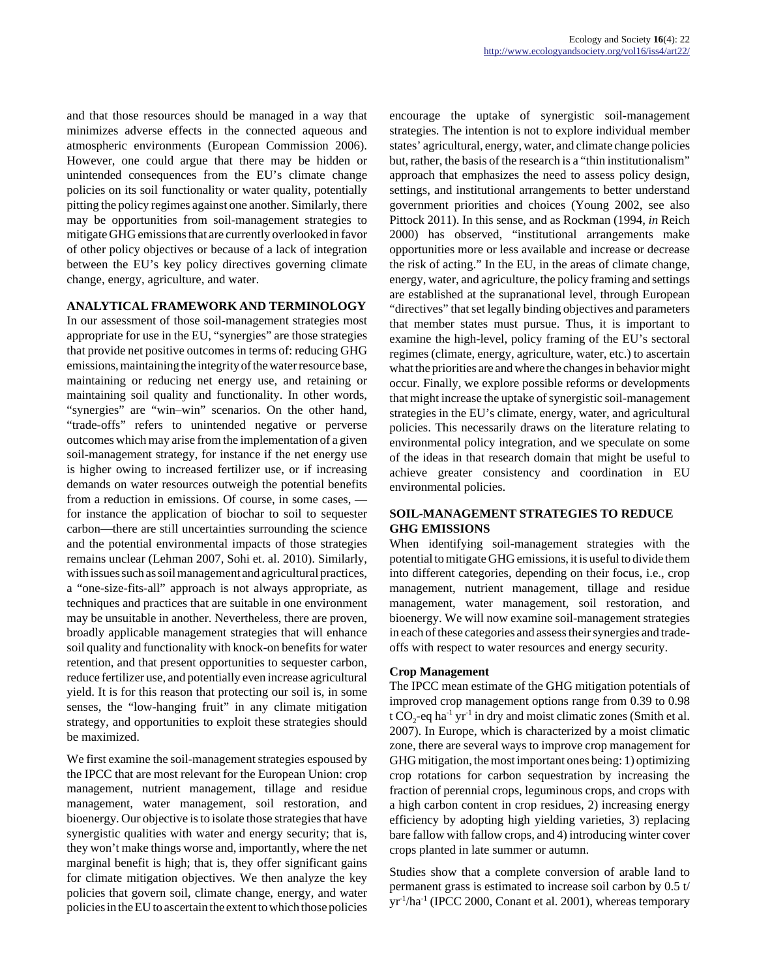and that those resources should be managed in a way that minimizes adverse effects in the connected aqueous and atmospheric environments (European Commission 2006). However, one could argue that there may be hidden or unintended consequences from the EU's climate change policies on its soil functionality or water quality, potentially pitting the policy regimes against one another. Similarly, there may be opportunities from soil-management strategies to mitigate GHG emissions that are currently overlooked in favor of other policy objectives or because of a lack of integration between the EU's key policy directives governing climate change, energy, agriculture, and water.

### **ANALYTICAL FRAMEWORK AND TERMINOLOGY**

In our assessment of those soil-management strategies most appropriate for use in the EU, "synergies" are those strategies that provide net positive outcomes in terms of: reducing GHG emissions, maintaining the integrity of the water resource base, maintaining or reducing net energy use, and retaining or maintaining soil quality and functionality. In other words, "synergies" are "win–win" scenarios. On the other hand, "trade-offs" refers to unintended negative or perverse outcomes which may arise from the implementation of a given soil-management strategy, for instance if the net energy use is higher owing to increased fertilizer use, or if increasing demands on water resources outweigh the potential benefits from a reduction in emissions. Of course, in some cases, for instance the application of biochar to soil to sequester carbon—there are still uncertainties surrounding the science and the potential environmental impacts of those strategies remains unclear (Lehman 2007, Sohi et. al. 2010). Similarly, with issues such as soil management and agricultural practices, a "one-size-fits-all" approach is not always appropriate, as techniques and practices that are suitable in one environment may be unsuitable in another. Nevertheless, there are proven, broadly applicable management strategies that will enhance soil quality and functionality with knock-on benefits for water retention, and that present opportunities to sequester carbon, reduce fertilizer use, and potentially even increase agricultural yield. It is for this reason that protecting our soil is, in some senses, the "low-hanging fruit" in any climate mitigation strategy, and opportunities to exploit these strategies should be maximized.

We first examine the soil-management strategies espoused by the IPCC that are most relevant for the European Union: crop management, nutrient management, tillage and residue management, water management, soil restoration, and bioenergy. Our objective is to isolate those strategies that have synergistic qualities with water and energy security; that is, they won't make things worse and, importantly, where the net marginal benefit is high; that is, they offer significant gains for climate mitigation objectives. We then analyze the key policies that govern soil, climate change, energy, and water policies in the EU to ascertain the extent to which those policies encourage the uptake of synergistic soil-management strategies. The intention is not to explore individual member states' agricultural, energy, water, and climate change policies but, rather, the basis of the research is a "thin institutionalism" approach that emphasizes the need to assess policy design, settings, and institutional arrangements to better understand government priorities and choices (Young 2002, see also Pittock 2011). In this sense, and as Rockman (1994, *in* Reich 2000) has observed, "institutional arrangements make opportunities more or less available and increase or decrease the risk of acting." In the EU, in the areas of climate change, energy, water, and agriculture, the policy framing and settings are established at the supranational level, through European "directives" that set legally binding objectives and parameters that member states must pursue. Thus, it is important to examine the high-level, policy framing of the EU's sectoral regimes (climate, energy, agriculture, water, etc.) to ascertain what the priorities are and where the changes in behavior might occur. Finally, we explore possible reforms or developments that might increase the uptake of synergistic soil-management strategies in the EU's climate, energy, water, and agricultural policies. This necessarily draws on the literature relating to environmental policy integration, and we speculate on some of the ideas in that research domain that might be useful to achieve greater consistency and coordination in EU environmental policies.

# **SOIL-MANAGEMENT STRATEGIES TO REDUCE GHG EMISSIONS**

When identifying soil-management strategies with the potential to mitigate GHG emissions, it is useful to divide them into different categories, depending on their focus, i.e., crop management, nutrient management, tillage and residue management, water management, soil restoration, and bioenergy. We will now examine soil-management strategies in each of these categories and assess their synergies and tradeoffs with respect to water resources and energy security.

#### **Crop Management**

The IPCC mean estimate of the GHG mitigation potentials of improved crop management options range from 0.39 to 0.98 t  $CO_2$ -eq ha<sup>-1</sup> yr<sup>-1</sup> in dry and moist climatic zones (Smith et al. 2007). In Europe, which is characterized by a moist climatic zone, there are several ways to improve crop management for GHG mitigation, the most important ones being: 1) optimizing crop rotations for carbon sequestration by increasing the fraction of perennial crops, leguminous crops, and crops with a high carbon content in crop residues, 2) increasing energy efficiency by adopting high yielding varieties, 3) replacing bare fallow with fallow crops, and 4) introducing winter cover crops planted in late summer or autumn.

Studies show that a complete conversion of arable land to permanent grass is estimated to increase soil carbon by 0.5 t/ yr<sup>-1</sup>/ha<sup>-1</sup> (IPCC 2000, Conant et al. 2001), whereas temporary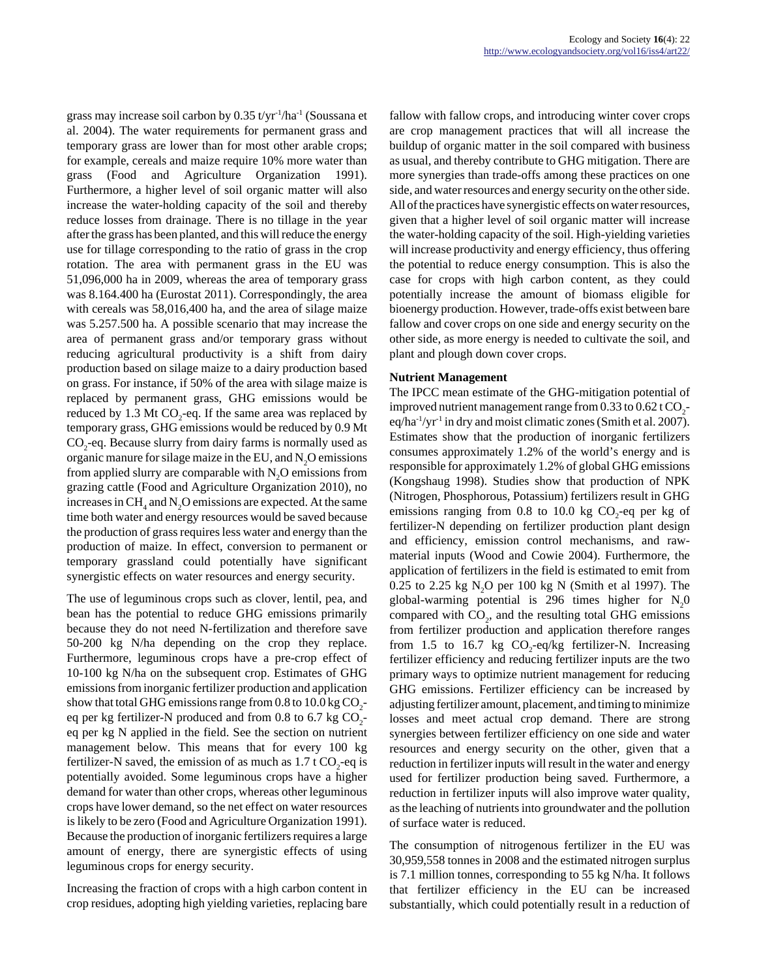grass may increase soil carbon by  $0.35 \frac{\text{t}}{\text{yr}^{-1}}$ /ha<sup>-1</sup> (Soussana et al. 2004). The water requirements for permanent grass and temporary grass are lower than for most other arable crops; for example, cereals and maize require 10% more water than grass (Food and Agriculture Organization 1991). Furthermore, a higher level of soil organic matter will also increase the water-holding capacity of the soil and thereby reduce losses from drainage. There is no tillage in the year after the grass has been planted, and this will reduce the energy use for tillage corresponding to the ratio of grass in the crop rotation. The area with permanent grass in the EU was 51,096,000 ha in 2009, whereas the area of temporary grass was 8.164.400 ha (Eurostat 2011). Correspondingly, the area with cereals was 58,016,400 ha, and the area of silage maize was 5.257.500 ha. A possible scenario that may increase the area of permanent grass and/or temporary grass without reducing agricultural productivity is a shift from dairy production based on silage maize to a dairy production based on grass. For instance, if 50% of the area with silage maize is replaced by permanent grass, GHG emissions would be reduced by 1.3 Mt  $CO_2$ -eq. If the same area was replaced by temporary grass, GHG emissions would be reduced by 0.9 Mt  $CO<sub>2</sub>$ -eq. Because slurry from dairy farms is normally used as organic manure for silage maize in the EU, and N<sub>2</sub>O emissions from applied slurry are comparable with  $N<sub>2</sub>O$  emissions from grazing cattle (Food and Agriculture Organization 2010), no increases in  $\rm CH_{\rm 4}$  and  $\rm N_{\rm 2}O$  emissions are expected. At the same time both water and energy resources would be saved because the production of grass requires less water and energy than the production of maize. In effect, conversion to permanent or temporary grassland could potentially have significant synergistic effects on water resources and energy security.

The use of leguminous crops such as clover, lentil, pea, and bean has the potential to reduce GHG emissions primarily because they do not need N-fertilization and therefore save 50-200 kg N/ha depending on the crop they replace. Furthermore, leguminous crops have a pre-crop effect of 10-100 kg N/ha on the subsequent crop. Estimates of GHG emissions from inorganic fertilizer production and application show that total GHG emissions range from  $0.8$  to  $10.0$  kg  $\text{CO}_2$ eq per kg fertilizer-N produced and from  $0.8$  to  $6.7$  kg  $CO_2$ eq per kg N applied in the field. See the section on nutrient management below. This means that for every 100 kg fertilizer-N saved, the emission of as much as  $1.7 \text{ t CO}_2$ -eq is potentially avoided. Some leguminous crops have a higher demand for water than other crops, whereas other leguminous crops have lower demand, so the net effect on water resources is likely to be zero (Food and Agriculture Organization 1991). Because the production of inorganic fertilizers requires a large amount of energy, there are synergistic effects of using leguminous crops for energy security.

Increasing the fraction of crops with a high carbon content in crop residues, adopting high yielding varieties, replacing bare fallow with fallow crops, and introducing winter cover crops are crop management practices that will all increase the buildup of organic matter in the soil compared with business as usual, and thereby contribute to GHG mitigation. There are more synergies than trade-offs among these practices on one side, and water resources and energy security on the other side. All of the practices have synergistic effects on water resources, given that a higher level of soil organic matter will increase the water-holding capacity of the soil. High-yielding varieties will increase productivity and energy efficiency, thus offering the potential to reduce energy consumption. This is also the case for crops with high carbon content, as they could potentially increase the amount of biomass eligible for bioenergy production. However, trade-offs exist between bare fallow and cover crops on one side and energy security on the other side, as more energy is needed to cultivate the soil, and plant and plough down cover crops.

### **Nutrient Management**

The IPCC mean estimate of the GHG-mitigation potential of improved nutrient management range from 0.33 to  $0.62$  t CO<sub>2</sub> $eq/ha^{-1}/yr^{-1}$  in dry and moist climatic zones (Smith et al. 2007). Estimates show that the production of inorganic fertilizers consumes approximately 1.2% of the world's energy and is responsible for approximately 1.2% of global GHG emissions (Kongshaug 1998). Studies show that production of NPK (Nitrogen, Phosphorous, Potassium) fertilizers result in GHG emissions ranging from  $0.8$  to  $10.0$  kg  $CO<sub>2</sub>$ -eq per kg of fertilizer-N depending on fertilizer production plant design and efficiency, emission control mechanisms, and rawmaterial inputs (Wood and Cowie 2004). Furthermore, the application of fertilizers in the field is estimated to emit from 0.25 to 2.25 kg  $N_2$ O per 100 kg  $N$  (Smith et al 1997). The global-warming potential is 296 times higher for  $N_2$ 0 compared with  $CO<sub>2</sub>$ , and the resulting total GHG emissions from fertilizer production and application therefore ranges from 1.5 to 16.7 kg  $CO_2$ -eq/kg fertilizer-N. Increasing fertilizer efficiency and reducing fertilizer inputs are the two primary ways to optimize nutrient management for reducing GHG emissions. Fertilizer efficiency can be increased by adjusting fertilizer amount, placement, and timing to minimize losses and meet actual crop demand. There are strong synergies between fertilizer efficiency on one side and water resources and energy security on the other, given that a reduction in fertilizer inputs will result in the water and energy used for fertilizer production being saved. Furthermore, a reduction in fertilizer inputs will also improve water quality, as the leaching of nutrients into groundwater and the pollution of surface water is reduced.

The consumption of nitrogenous fertilizer in the EU was 30,959,558 tonnes in 2008 and the estimated nitrogen surplus is 7.1 million tonnes, corresponding to 55 kg N/ha. It follows that fertilizer efficiency in the EU can be increased substantially, which could potentially result in a reduction of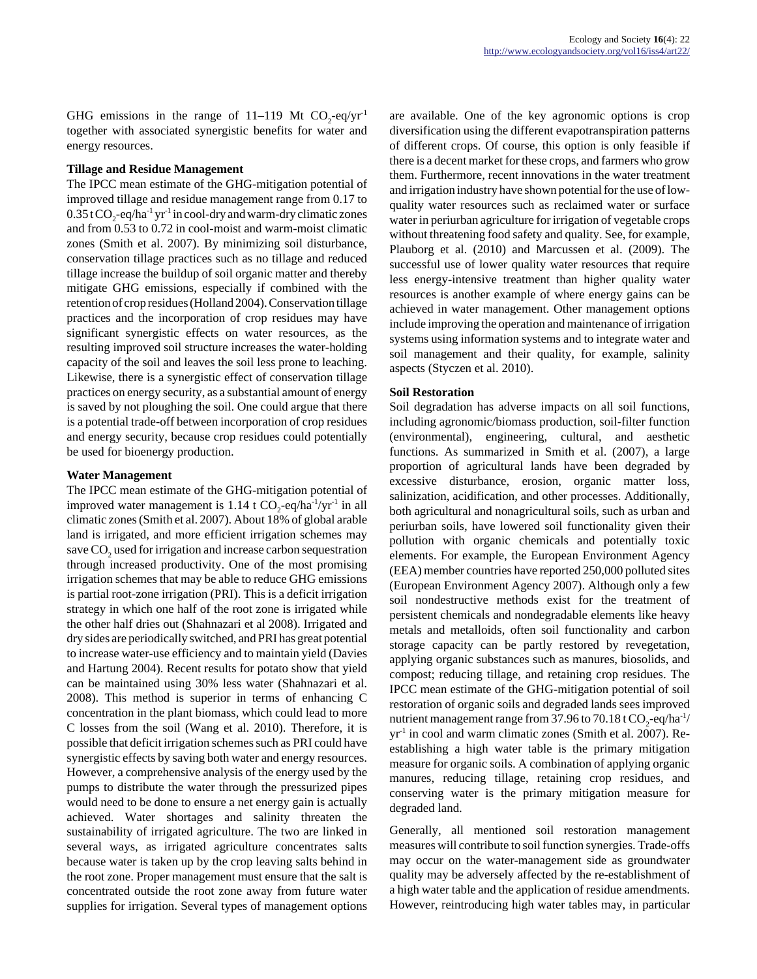GHG emissions in the range of 11–119 Mt  $CO_2$ -eq/yr<sup>-1</sup> together with associated synergistic benefits for water and energy resources.

### **Tillage and Residue Management**

The IPCC mean estimate of the GHG-mitigation potential of improved tillage and residue management range from 0.17 to  $0.35$ t $\text{CO}_2$ -eq/ha<sup>-1</sup> yr<sup>-1</sup> in cool-dry and warm-dry climatic zones and from 0.53 to 0.72 in cool-moist and warm-moist climatic zones (Smith et al. 2007). By minimizing soil disturbance, conservation tillage practices such as no tillage and reduced tillage increase the buildup of soil organic matter and thereby mitigate GHG emissions, especially if combined with the retention of crop residues (Holland 2004). Conservation tillage practices and the incorporation of crop residues may have significant synergistic effects on water resources, as the resulting improved soil structure increases the water-holding capacity of the soil and leaves the soil less prone to leaching. Likewise, there is a synergistic effect of conservation tillage practices on energy security, as a substantial amount of energy is saved by not ploughing the soil. One could argue that there is a potential trade-off between incorporation of crop residues and energy security, because crop residues could potentially be used for bioenergy production.

#### **Water Management**

The IPCC mean estimate of the GHG-mitigation potential of improved water management is  $1.14 \text{ t } CO_2$ -eq/ha<sup>-1</sup>/yr<sup>-1</sup> in all climatic zones (Smith et al. 2007). About 18% of global arable land is irrigated, and more efficient irrigation schemes may save  $\mathrm{CO}_2$  used for irrigation and increase carbon sequestration through increased productivity. One of the most promising irrigation schemes that may be able to reduce GHG emissions is partial root-zone irrigation (PRI). This is a deficit irrigation strategy in which one half of the root zone is irrigated while the other half dries out (Shahnazari et al 2008). Irrigated and dry sides are periodically switched, and PRI has great potential to increase water-use efficiency and to maintain yield (Davies and Hartung 2004). Recent results for potato show that yield can be maintained using 30% less water (Shahnazari et al. 2008). This method is superior in terms of enhancing C concentration in the plant biomass, which could lead to more C losses from the soil (Wang et al. 2010). Therefore, it is possible that deficit irrigation schemes such as PRI could have synergistic effects by saving both water and energy resources. However, a comprehensive analysis of the energy used by the pumps to distribute the water through the pressurized pipes would need to be done to ensure a net energy gain is actually achieved. Water shortages and salinity threaten the sustainability of irrigated agriculture. The two are linked in several ways, as irrigated agriculture concentrates salts because water is taken up by the crop leaving salts behind in the root zone. Proper management must ensure that the salt is concentrated outside the root zone away from future water supplies for irrigation. Several types of management options are available. One of the key agronomic options is crop diversification using the different evapotranspiration patterns of different crops. Of course, this option is only feasible if there is a decent market for these crops, and farmers who grow them. Furthermore, recent innovations in the water treatment and irrigation industry have shown potential for the use of lowquality water resources such as reclaimed water or surface water in periurban agriculture for irrigation of vegetable crops without threatening food safety and quality. See, for example, Plauborg et al. (2010) and Marcussen et al. (2009). The successful use of lower quality water resources that require less energy-intensive treatment than higher quality water resources is another example of where energy gains can be achieved in water management. Other management options include improving the operation and maintenance of irrigation systems using information systems and to integrate water and soil management and their quality, for example, salinity aspects (Styczen et al. 2010).

### **Soil Restoration**

Soil degradation has adverse impacts on all soil functions, including agronomic/biomass production, soil-filter function (environmental), engineering, cultural, and aesthetic functions. As summarized in Smith et al. (2007), a large proportion of agricultural lands have been degraded by excessive disturbance, erosion, organic matter loss, salinization, acidification, and other processes. Additionally, both agricultural and nonagricultural soils, such as urban and periurban soils, have lowered soil functionality given their pollution with organic chemicals and potentially toxic elements. For example, the European Environment Agency (EEA) member countries have reported 250,000 polluted sites (European Environment Agency 2007). Although only a few soil nondestructive methods exist for the treatment of persistent chemicals and nondegradable elements like heavy metals and metalloids, often soil functionality and carbon storage capacity can be partly restored by revegetation, applying organic substances such as manures, biosolids, and compost; reducing tillage, and retaining crop residues. The IPCC mean estimate of the GHG-mitigation potential of soil restoration of organic soils and degraded lands sees improved nutrient management range from 37.96 to 70.18 t  $\rm CO_2$ -eq/ha<sup>-1/</sup> yr-1 in cool and warm climatic zones (Smith et al. 2007). Reestablishing a high water table is the primary mitigation measure for organic soils. A combination of applying organic manures, reducing tillage, retaining crop residues, and conserving water is the primary mitigation measure for degraded land.

Generally, all mentioned soil restoration management measures will contribute to soil function synergies. Trade-offs may occur on the water-management side as groundwater quality may be adversely affected by the re-establishment of a high water table and the application of residue amendments. However, reintroducing high water tables may, in particular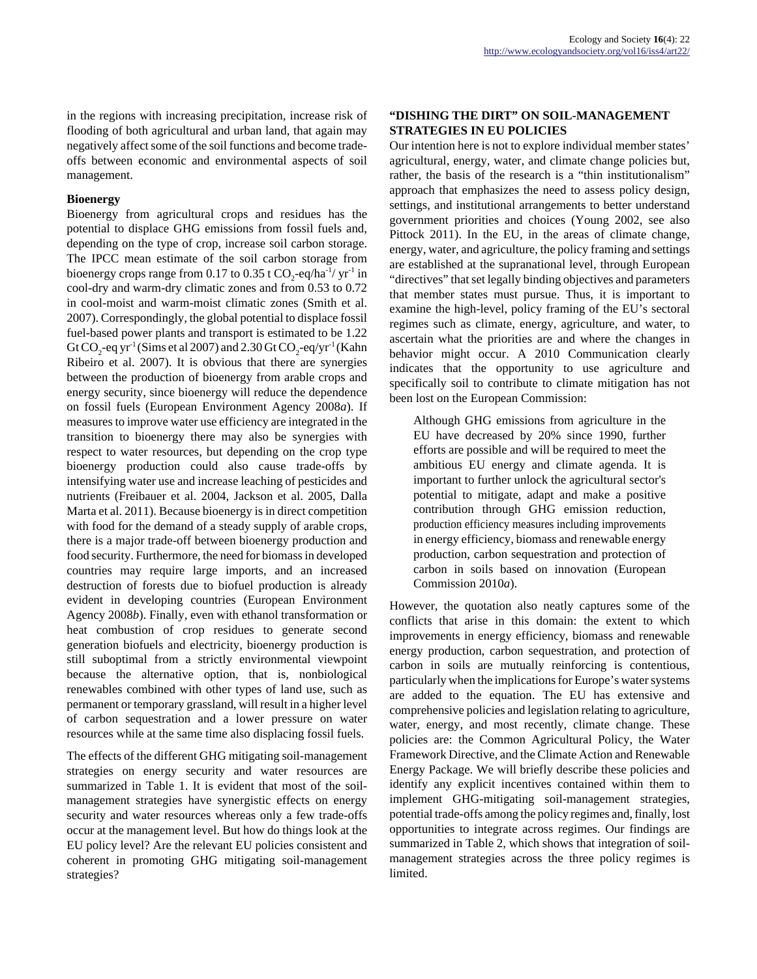in the regions with increasing precipitation, increase risk of flooding of both agricultural and urban land, that again may negatively affect some of the soil functions and become tradeoffs between economic and environmental aspects of soil management.

### **Bioenergy**

Bioenergy from agricultural crops and residues has the potential to displace GHG emissions from fossil fuels and, depending on the type of crop, increase soil carbon storage. The IPCC mean estimate of the soil carbon storage from bioenergy crops range from 0.17 to 0.35 t  $CO_2$ -eq/ha<sup>-1</sup>/  $yr^{-1}$  in cool-dry and warm-dry climatic zones and from 0.53 to 0.72 in cool-moist and warm-moist climatic zones (Smith et al. 2007). Correspondingly, the global potential to displace fossil fuel-based power plants and transport is estimated to be 1.22 Gt CO<sub>2</sub>-eq yr<sup>-1</sup> (Sims et al 2007) and 2.30 Gt CO<sub>2</sub>-eq/yr<sup>-1</sup> (Kahn Ribeiro et al. 2007). It is obvious that there are synergies between the production of bioenergy from arable crops and energy security, since bioenergy will reduce the dependence on fossil fuels (European Environment Agency 2008*a*). If measures to improve water use efficiency are integrated in the transition to bioenergy there may also be synergies with respect to water resources, but depending on the crop type bioenergy production could also cause trade-offs by intensifying water use and increase leaching of pesticides and nutrients (Freibauer et al. 2004, Jackson et al. 2005, Dalla Marta et al. 2011). Because bioenergy is in direct competition with food for the demand of a steady supply of arable crops, there is a major trade-off between bioenergy production and food security. Furthermore, the need for biomass in developed countries may require large imports, and an increased destruction of forests due to biofuel production is already evident in developing countries (European Environment Agency 2008*b*). Finally, even with ethanol transformation or heat combustion of crop residues to generate second generation biofuels and electricity, bioenergy production is still suboptimal from a strictly environmental viewpoint because the alternative option, that is, nonbiological renewables combined with other types of land use, such as permanent or temporary grassland, will result in a higher level of carbon sequestration and a lower pressure on water resources while at the same time also displacing fossil fuels.

The effects of the different GHG mitigating soil-management strategies on energy security and water resources are summarized in Table 1. It is evident that most of the soilmanagement strategies have synergistic effects on energy security and water resources whereas only a few trade-offs occur at the management level. But how do things look at the EU policy level? Are the relevant EU policies consistent and coherent in promoting GHG mitigating soil-management strategies?

# **"DISHING THE DIRT" ON SOIL-MANAGEMENT STRATEGIES IN EU POLICIES**

Our intention here is not to explore individual member states' agricultural, energy, water, and climate change policies but, rather, the basis of the research is a "thin institutionalism" approach that emphasizes the need to assess policy design, settings, and institutional arrangements to better understand government priorities and choices (Young 2002, see also Pittock 2011). In the EU, in the areas of climate change, energy, water, and agriculture, the policy framing and settings are established at the supranational level, through European "directives" that set legally binding objectives and parameters that member states must pursue. Thus, it is important to examine the high-level, policy framing of the EU's sectoral regimes such as climate, energy, agriculture, and water, to ascertain what the priorities are and where the changes in behavior might occur. A 2010 Communication clearly indicates that the opportunity to use agriculture and specifically soil to contribute to climate mitigation has not been lost on the European Commission:

Although GHG emissions from agriculture in the EU have decreased by 20% since 1990, further efforts are possible and will be required to meet the ambitious EU energy and climate agenda. It is important to further unlock the agricultural sector's potential to mitigate, adapt and make a positive contribution through GHG emission reduction, production efficiency measures including improvements in energy efficiency, biomass and renewable energy production, carbon sequestration and protection of carbon in soils based on innovation (European Commission 2010*a*).

However, the quotation also neatly captures some of the conflicts that arise in this domain: the extent to which improvements in energy efficiency, biomass and renewable energy production, carbon sequestration, and protection of carbon in soils are mutually reinforcing is contentious, particularly when the implications for Europe's water systems are added to the equation. The EU has extensive and comprehensive policies and legislation relating to agriculture, water, energy, and most recently, climate change. These policies are: the Common Agricultural Policy, the Water Framework Directive, and the Climate Action and Renewable Energy Package. We will briefly describe these policies and identify any explicit incentives contained within them to implement GHG-mitigating soil-management strategies, potential trade-offs among the policy regimes and, finally, lost opportunities to integrate across regimes. Our findings are summarized in Table 2, which shows that integration of soilmanagement strategies across the three policy regimes is limited.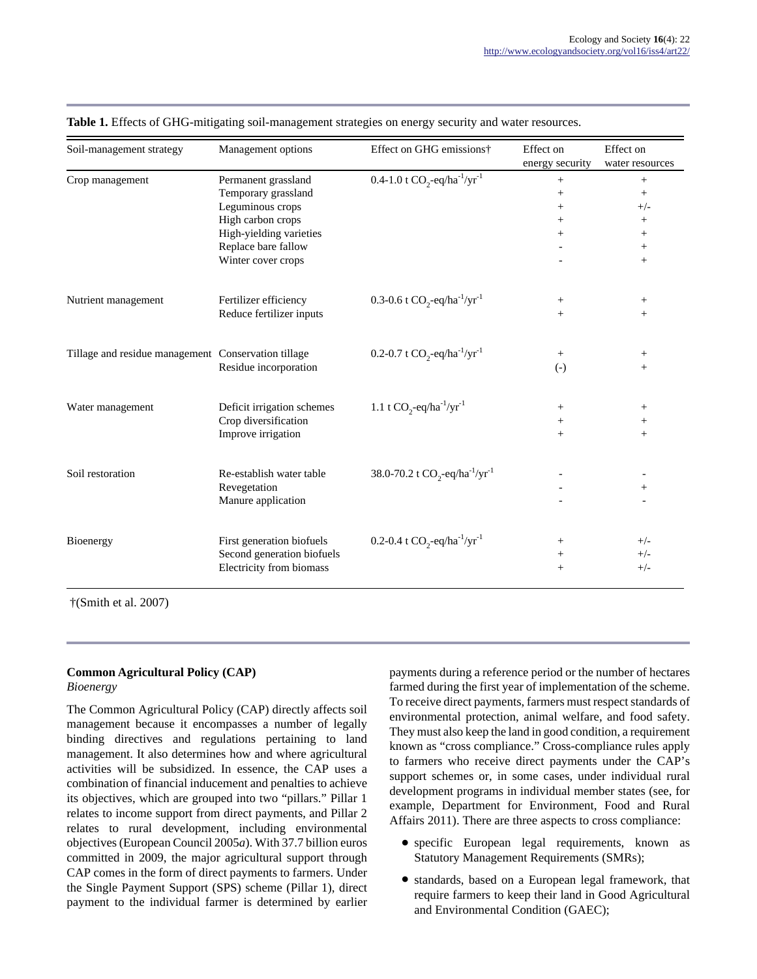| Soil-management strategy                            | Management options                                                                  | Effect on GHG emissions†                                  | Effect on<br>energy security | Effect on<br>water resources |
|-----------------------------------------------------|-------------------------------------------------------------------------------------|-----------------------------------------------------------|------------------------------|------------------------------|
| Crop management                                     | Permanent grassland<br>Temporary grassland<br>Leguminous crops                      | 0.4-1.0 t $CO_2$ -eq/ha <sup>-1</sup> /yr <sup>-1</sup>   | $^{+}$                       | $\! + \!\!\!\!$              |
|                                                     |                                                                                     |                                                           | $+$                          | $^{+}$                       |
|                                                     |                                                                                     |                                                           | $+$                          | $+/-$                        |
|                                                     | High carbon crops                                                                   |                                                           | $^{+}$                       | $^{+}$                       |
|                                                     | High-yielding varieties                                                             |                                                           | $+$                          | $^{+}$                       |
|                                                     | Replace bare fallow<br>Winter cover crops                                           |                                                           |                              | $^{+}$                       |
|                                                     |                                                                                     |                                                           |                              | $^{+}$                       |
| Nutrient management                                 | Fertilizer efficiency<br>Reduce fertilizer inputs                                   | 0.3-0.6 t $CO_2$ -eq/ha <sup>-1</sup> /yr <sup>-1</sup>   | $^{+}$                       | $^{+}$                       |
|                                                     |                                                                                     |                                                           | $^{+}$                       | $^{+}$                       |
|                                                     |                                                                                     |                                                           |                              |                              |
| Tillage and residue management Conservation tillage | Residue incorporation                                                               | 0.2-0.7 t $CO_2$ -eq/ha <sup>-1</sup> /yr <sup>-1</sup>   | $+$                          | $^{+}$                       |
|                                                     |                                                                                     |                                                           | $(-)$                        | $^{+}$                       |
| Water management                                    | Deficit irrigation schemes<br>Crop diversification<br>Improve irrigation            | 1.1 t $CO_2$ -eq/ha <sup>-1</sup> /yr <sup>-1</sup>       | $^{+}$                       | $^{+}$                       |
|                                                     |                                                                                     |                                                           | $^{+}$                       | $^{+}$                       |
|                                                     |                                                                                     |                                                           | $+$                          | $+$                          |
|                                                     |                                                                                     |                                                           |                              |                              |
| Soil restoration                                    | Re-establish water table                                                            | 38.0-70.2 t $CO_2$ -eq/ha <sup>-1</sup> /yr <sup>-1</sup> |                              |                              |
|                                                     | Revegetation<br>Manure application                                                  |                                                           |                              | $^{+}$                       |
|                                                     |                                                                                     |                                                           |                              |                              |
| Bioenergy                                           | First generation biofuels<br>Second generation biofuels<br>Electricity from biomass | 0.2-0.4 t $CO_2$ -eq/ha <sup>-1</sup> /yr <sup>-1</sup>   | $^{+}$                       | $+/-$                        |
|                                                     |                                                                                     |                                                           | $^{+}$                       | $+/-$                        |
|                                                     |                                                                                     |                                                           | $^{+}$                       | $+/-$                        |

**Table 1.** Effects of GHG-mitigating soil-management strategies on energy security and water resources.

†(Smith et al. 2007)

# **Common Agricultural Policy (CAP)**

*Bioenergy*

The Common Agricultural Policy (CAP) directly affects soil management because it encompasses a number of legally binding directives and regulations pertaining to land management. It also determines how and where agricultural activities will be subsidized. In essence, the CAP uses a combination of financial inducement and penalties to achieve its objectives, which are grouped into two "pillars." Pillar 1 relates to income support from direct payments, and Pillar 2 relates to rural development, including environmental objectives (European Council 2005*a*). With 37.7 billion euros committed in 2009, the major agricultural support through CAP comes in the form of direct payments to farmers. Under the Single Payment Support (SPS) scheme (Pillar 1), direct payment to the individual farmer is determined by earlier payments during a reference period or the number of hectares farmed during the first year of implementation of the scheme. To receive direct payments, farmers must respect standards of environmental protection, animal welfare, and food safety. They must also keep the land in good condition, a requirement known as "cross compliance." Cross-compliance rules apply to farmers who receive direct payments under the CAP's support schemes or, in some cases, under individual rural development programs in individual member states (see, for example, Department for Environment, Food and Rural Affairs 2011). There are three aspects to cross compliance:

- specific European legal requirements, known as Statutory Management Requirements (SMRs);
- standards, based on a European legal framework, that require farmers to keep their land in Good Agricultural and Environmental Condition (GAEC);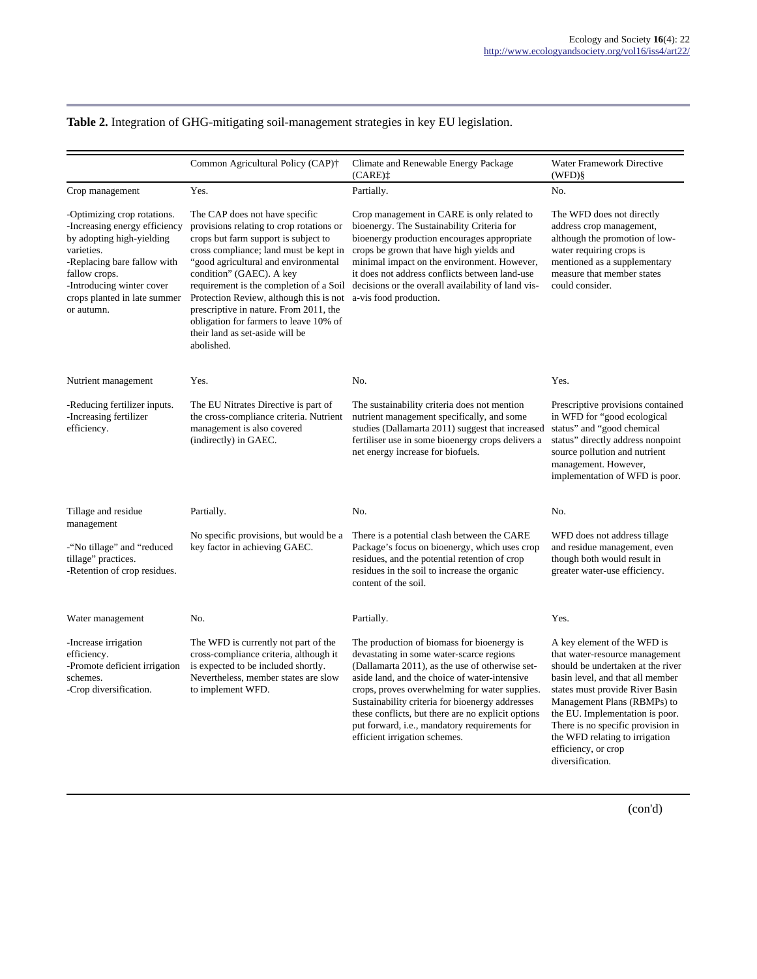# **Table 2.** Integration of GHG-mitigating soil-management strategies in key EU legislation.

|                                                                                                                                                                                                                                    | Common Agricultural Policy (CAP) <sup>†</sup>                                                                                                                                                                                                                                                                                                                                                                                                               | Climate and Renewable Energy Package                                                                                                                                                                                                                                                                                                                                                                                                    | Water Framework Directive                                                                                                                                                                                                                                                                                                                                     |
|------------------------------------------------------------------------------------------------------------------------------------------------------------------------------------------------------------------------------------|-------------------------------------------------------------------------------------------------------------------------------------------------------------------------------------------------------------------------------------------------------------------------------------------------------------------------------------------------------------------------------------------------------------------------------------------------------------|-----------------------------------------------------------------------------------------------------------------------------------------------------------------------------------------------------------------------------------------------------------------------------------------------------------------------------------------------------------------------------------------------------------------------------------------|---------------------------------------------------------------------------------------------------------------------------------------------------------------------------------------------------------------------------------------------------------------------------------------------------------------------------------------------------------------|
|                                                                                                                                                                                                                                    |                                                                                                                                                                                                                                                                                                                                                                                                                                                             | $(CARE)$ :                                                                                                                                                                                                                                                                                                                                                                                                                              | $(WFD)$ §                                                                                                                                                                                                                                                                                                                                                     |
| Crop management                                                                                                                                                                                                                    | Yes.                                                                                                                                                                                                                                                                                                                                                                                                                                                        | Partially.                                                                                                                                                                                                                                                                                                                                                                                                                              | No.                                                                                                                                                                                                                                                                                                                                                           |
| -Optimizing crop rotations.<br>-Increasing energy efficiency<br>by adopting high-yielding<br>varieties.<br>-Replacing bare fallow with<br>fallow crops.<br>-Introducing winter cover<br>crops planted in late summer<br>or autumn. | The CAP does not have specific<br>provisions relating to crop rotations or<br>crops but farm support is subject to<br>cross compliance; land must be kept in<br>"good agricultural and environmental<br>condition" (GAEC). A key<br>requirement is the completion of a Soil<br>Protection Review, although this is not<br>prescriptive in nature. From 2011, the<br>obligation for farmers to leave 10% of<br>their land as set-aside will be<br>abolished. | Crop management in CARE is only related to<br>bioenergy. The Sustainability Criteria for<br>bioenergy production encourages appropriate<br>crops be grown that have high yields and<br>minimal impact on the environment. However,<br>it does not address conflicts between land-use<br>decisions or the overall availability of land vis-<br>a-vis food production.                                                                    | The WFD does not directly<br>address crop management,<br>although the promotion of low-<br>water requiring crops is<br>mentioned as a supplementary<br>measure that member states<br>could consider.                                                                                                                                                          |
| Nutrient management                                                                                                                                                                                                                | Yes.                                                                                                                                                                                                                                                                                                                                                                                                                                                        | No.                                                                                                                                                                                                                                                                                                                                                                                                                                     | Yes.                                                                                                                                                                                                                                                                                                                                                          |
| -Reducing fertilizer inputs.<br>-Increasing fertilizer<br>efficiency.                                                                                                                                                              | The EU Nitrates Directive is part of<br>the cross-compliance criteria. Nutrient<br>management is also covered<br>(indirectly) in GAEC.                                                                                                                                                                                                                                                                                                                      | The sustainability criteria does not mention<br>nutrient management specifically, and some<br>studies (Dallamarta 2011) suggest that increased<br>fertiliser use in some bioenergy crops delivers a<br>net energy increase for biofuels.                                                                                                                                                                                                | Prescriptive provisions contained<br>in WFD for "good ecological<br>status" and "good chemical<br>status" directly address nonpoint<br>source pollution and nutrient<br>management. However,<br>implementation of WFD is poor.                                                                                                                                |
| Tillage and residue<br>management                                                                                                                                                                                                  | Partially.                                                                                                                                                                                                                                                                                                                                                                                                                                                  | No.                                                                                                                                                                                                                                                                                                                                                                                                                                     | No.                                                                                                                                                                                                                                                                                                                                                           |
| -"No tillage" and "reduced<br>tillage" practices.<br>-Retention of crop residues.                                                                                                                                                  | No specific provisions, but would be a<br>key factor in achieving GAEC.                                                                                                                                                                                                                                                                                                                                                                                     | There is a potential clash between the CARE<br>Package's focus on bioenergy, which uses crop<br>residues, and the potential retention of crop<br>residues in the soil to increase the organic<br>content of the soil.                                                                                                                                                                                                                   | WFD does not address tillage<br>and residue management, even<br>though both would result in<br>greater water-use efficiency.                                                                                                                                                                                                                                  |
| Water management                                                                                                                                                                                                                   | No.                                                                                                                                                                                                                                                                                                                                                                                                                                                         | Partially.                                                                                                                                                                                                                                                                                                                                                                                                                              | Yes.                                                                                                                                                                                                                                                                                                                                                          |
| -Increase irrigation<br>efficiency.<br>-Promote deficient irrigation<br>schemes.<br>-Crop diversification.                                                                                                                         | The WFD is currently not part of the<br>cross-compliance criteria, although it<br>is expected to be included shortly.<br>Nevertheless, member states are slow<br>to implement WFD.                                                                                                                                                                                                                                                                          | The production of biomass for bioenergy is<br>devastating in some water-scarce regions<br>(Dallamarta 2011), as the use of otherwise set-<br>aside land, and the choice of water-intensive<br>crops, proves overwhelming for water supplies.<br>Sustainability criteria for bioenergy addresses<br>these conflicts, but there are no explicit options<br>put forward, i.e., mandatory requirements for<br>efficient irrigation schemes. | A key element of the WFD is<br>that water-resource management<br>should be undertaken at the river<br>basin level, and that all member<br>states must provide River Basin<br>Management Plans (RBMPs) to<br>the EU. Implementation is poor.<br>There is no specific provision in<br>the WFD relating to irrigation<br>efficiency, or crop<br>diversification. |

(con'd)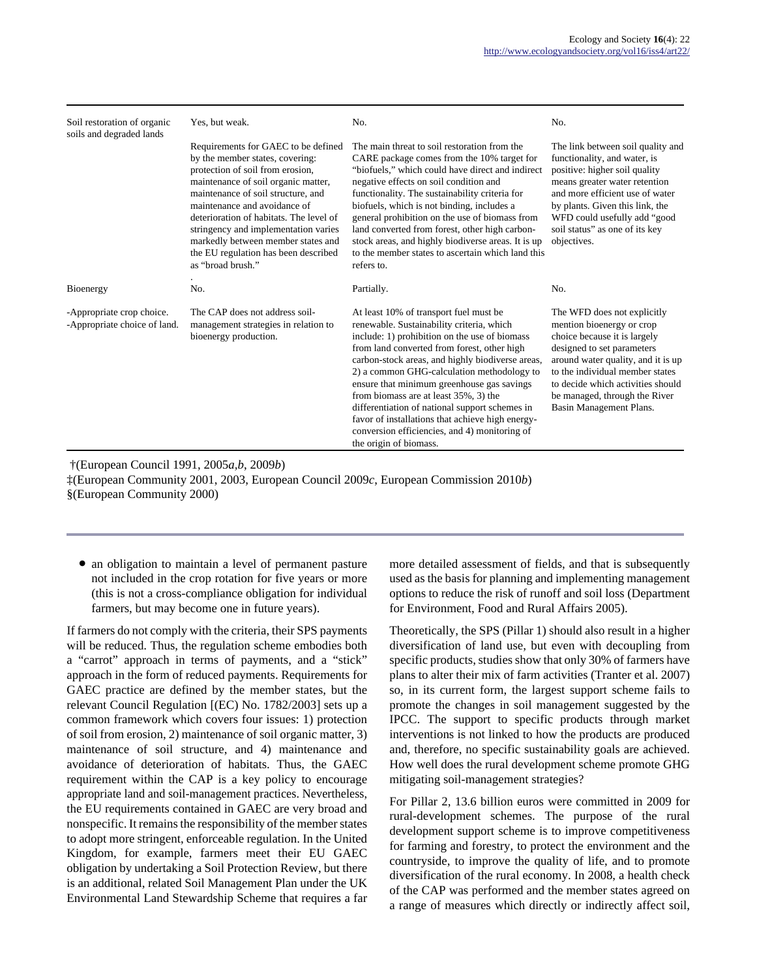| Soil restoration of organic<br>soils and degraded lands   | Yes, but weak.                                                                                                                                                                                                                                                                                                                                                                                                | No.                                                                                                                                                                                                                                                                                                                                                                                                                                                                                                                                                           | No.                                                                                                                                                                                                                                                                                              |
|-----------------------------------------------------------|---------------------------------------------------------------------------------------------------------------------------------------------------------------------------------------------------------------------------------------------------------------------------------------------------------------------------------------------------------------------------------------------------------------|---------------------------------------------------------------------------------------------------------------------------------------------------------------------------------------------------------------------------------------------------------------------------------------------------------------------------------------------------------------------------------------------------------------------------------------------------------------------------------------------------------------------------------------------------------------|--------------------------------------------------------------------------------------------------------------------------------------------------------------------------------------------------------------------------------------------------------------------------------------------------|
|                                                           | Requirements for GAEC to be defined<br>by the member states, covering:<br>protection of soil from erosion,<br>maintenance of soil organic matter,<br>maintenance of soil structure, and<br>maintenance and avoidance of<br>deterioration of habitats. The level of<br>stringency and implementation varies<br>markedly between member states and<br>the EU regulation has been described<br>as "broad brush." | The main threat to soil restoration from the<br>CARE package comes from the 10% target for<br>"biofuels." which could have direct and indirect<br>negative effects on soil condition and<br>functionality. The sustainability criteria for<br>biofuels, which is not binding, includes a<br>general prohibition on the use of biomass from<br>land converted from forest, other high carbon-<br>stock areas, and highly biodiverse areas. It is up<br>to the member states to ascertain which land this<br>refers to.                                         | The link between soil quality and<br>functionality, and water, is<br>positive: higher soil quality<br>means greater water retention<br>and more efficient use of water<br>by plants. Given this link, the<br>WFD could usefully add "good<br>soil status" as one of its key<br>objectives.       |
| Bioenergy                                                 | No.                                                                                                                                                                                                                                                                                                                                                                                                           | Partially.                                                                                                                                                                                                                                                                                                                                                                                                                                                                                                                                                    | No.                                                                                                                                                                                                                                                                                              |
| -Appropriate crop choice.<br>-Appropriate choice of land. | The CAP does not address soil-<br>management strategies in relation to<br>bioenergy production.                                                                                                                                                                                                                                                                                                               | At least 10% of transport fuel must be<br>renewable. Sustainability criteria, which<br>include: 1) prohibition on the use of biomass<br>from land converted from forest, other high<br>carbon-stock areas, and highly biodiverse areas,<br>2) a common GHG-calculation methodology to<br>ensure that minimum greenhouse gas savings<br>from biomass are at least 35%, 3) the<br>differentiation of national support schemes in<br>favor of installations that achieve high energy-<br>conversion efficiencies, and 4) monitoring of<br>the origin of biomass. | The WFD does not explicitly<br>mention bioenergy or crop<br>choice because it is largely<br>designed to set parameters<br>around water quality, and it is up<br>to the individual member states<br>to decide which activities should<br>be managed, through the River<br>Basin Management Plans. |

†(European Council 1991, 2005*a,b*, 2009*b*)

‡(European Community 2001, 2003, European Council 2009*c*, European Commission 2010*b*) §(European Community 2000)

● an obligation to maintain a level of permanent pasture not included in the crop rotation for five years or more (this is not a cross-compliance obligation for individual farmers, but may become one in future years).

If farmers do not comply with the criteria, their SPS payments will be reduced. Thus, the regulation scheme embodies both a "carrot" approach in terms of payments, and a "stick" approach in the form of reduced payments. Requirements for GAEC practice are defined by the member states, but the relevant Council Regulation [(EC) No. 1782/2003] sets up a common framework which covers four issues: 1) protection of soil from erosion, 2) maintenance of soil organic matter, 3) maintenance of soil structure, and 4) maintenance and avoidance of deterioration of habitats. Thus, the GAEC requirement within the CAP is a key policy to encourage appropriate land and soil-management practices. Nevertheless, the EU requirements contained in GAEC are very broad and nonspecific. It remains the responsibility of the member states to adopt more stringent, enforceable regulation. In the United Kingdom, for example, farmers meet their EU GAEC obligation by undertaking a Soil Protection Review, but there is an additional, related Soil Management Plan under the UK Environmental Land Stewardship Scheme that requires a far

more detailed assessment of fields, and that is subsequently used as the basis for planning and implementing management options to reduce the risk of runoff and soil loss (Department for Environment, Food and Rural Affairs 2005).

Theoretically, the SPS (Pillar 1) should also result in a higher diversification of land use, but even with decoupling from specific products, studies show that only 30% of farmers have plans to alter their mix of farm activities (Tranter et al. 2007) so, in its current form, the largest support scheme fails to promote the changes in soil management suggested by the IPCC. The support to specific products through market interventions is not linked to how the products are produced and, therefore, no specific sustainability goals are achieved. How well does the rural development scheme promote GHG mitigating soil-management strategies?

For Pillar 2, 13.6 billion euros were committed in 2009 for rural-development schemes. The purpose of the rural development support scheme is to improve competitiveness for farming and forestry, to protect the environment and the countryside, to improve the quality of life, and to promote diversification of the rural economy. In 2008, a health check of the CAP was performed and the member states agreed on a range of measures which directly or indirectly affect soil,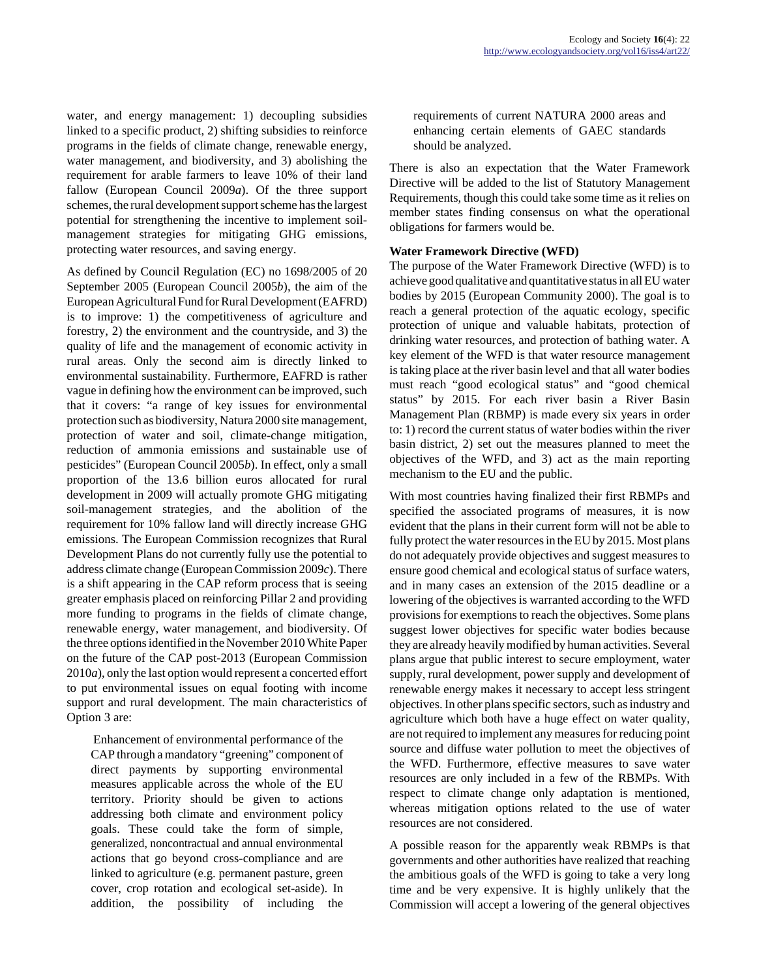water, and energy management: 1) decoupling subsidies linked to a specific product, 2) shifting subsidies to reinforce programs in the fields of climate change, renewable energy, water management, and biodiversity, and 3) abolishing the requirement for arable farmers to leave 10% of their land fallow (European Council 2009*a*). Of the three support schemes, the rural development support scheme has the largest potential for strengthening the incentive to implement soilmanagement strategies for mitigating GHG emissions, protecting water resources, and saving energy.

As defined by Council Regulation (EC) no 1698/2005 of 20 September 2005 (European Council 2005*b*), the aim of the European Agricultural Fund for Rural Development (EAFRD) is to improve: 1) the competitiveness of agriculture and forestry, 2) the environment and the countryside, and 3) the quality of life and the management of economic activity in rural areas. Only the second aim is directly linked to environmental sustainability. Furthermore, EAFRD is rather vague in defining how the environment can be improved, such that it covers: "a range of key issues for environmental protection such as biodiversity, Natura 2000 site management, protection of water and soil, climate-change mitigation, reduction of ammonia emissions and sustainable use of pesticides" (European Council 2005*b*). In effect, only a small proportion of the 13.6 billion euros allocated for rural development in 2009 will actually promote GHG mitigating soil-management strategies, and the abolition of the requirement for 10% fallow land will directly increase GHG emissions. The European Commission recognizes that Rural Development Plans do not currently fully use the potential to address climate change (European Commission 2009*c*). There is a shift appearing in the CAP reform process that is seeing greater emphasis placed on reinforcing Pillar 2 and providing more funding to programs in the fields of climate change, renewable energy, water management, and biodiversity. Of the three options identified in the November 2010 White Paper on the future of the CAP post-2013 (European Commission 2010*a*), only the last option would represent a concerted effort to put environmental issues on equal footing with income support and rural development. The main characteristics of Option 3 are:

 Enhancement of environmental performance of the CAP through a mandatory "greening" component of direct payments by supporting environmental measures applicable across the whole of the EU territory. Priority should be given to actions addressing both climate and environment policy goals. These could take the form of simple, generalized, noncontractual and annual environmental actions that go beyond cross-compliance and are linked to agriculture (e.g. permanent pasture, green cover, crop rotation and ecological set-aside). In addition, the possibility of including the

requirements of current NATURA 2000 areas and enhancing certain elements of GAEC standards should be analyzed.

There is also an expectation that the Water Framework Directive will be added to the list of Statutory Management Requirements, though this could take some time as it relies on member states finding consensus on what the operational obligations for farmers would be.

### **Water Framework Directive (WFD)**

The purpose of the Water Framework Directive (WFD) is to achieve good qualitative and quantitative status in all EU water bodies by 2015 (European Community 2000). The goal is to reach a general protection of the aquatic ecology, specific protection of unique and valuable habitats, protection of drinking water resources, and protection of bathing water. A key element of the WFD is that water resource management is taking place at the river basin level and that all water bodies must reach "good ecological status" and "good chemical status" by 2015. For each river basin a River Basin Management Plan (RBMP) is made every six years in order to: 1) record the current status of water bodies within the river basin district, 2) set out the measures planned to meet the objectives of the WFD, and 3) act as the main reporting mechanism to the EU and the public.

With most countries having finalized their first RBMPs and specified the associated programs of measures, it is now evident that the plans in their current form will not be able to fully protect the water resources in the EU by 2015. Most plans do not adequately provide objectives and suggest measures to ensure good chemical and ecological status of surface waters, and in many cases an extension of the 2015 deadline or a lowering of the objectives is warranted according to the WFD provisions for exemptions to reach the objectives. Some plans suggest lower objectives for specific water bodies because they are already heavily modified by human activities. Several plans argue that public interest to secure employment, water supply, rural development, power supply and development of renewable energy makes it necessary to accept less stringent objectives. In other plans specific sectors, such as industry and agriculture which both have a huge effect on water quality, are not required to implement any measures for reducing point source and diffuse water pollution to meet the objectives of the WFD. Furthermore, effective measures to save water resources are only included in a few of the RBMPs. With respect to climate change only adaptation is mentioned, whereas mitigation options related to the use of water resources are not considered.

A possible reason for the apparently weak RBMPs is that governments and other authorities have realized that reaching the ambitious goals of the WFD is going to take a very long time and be very expensive. It is highly unlikely that the Commission will accept a lowering of the general objectives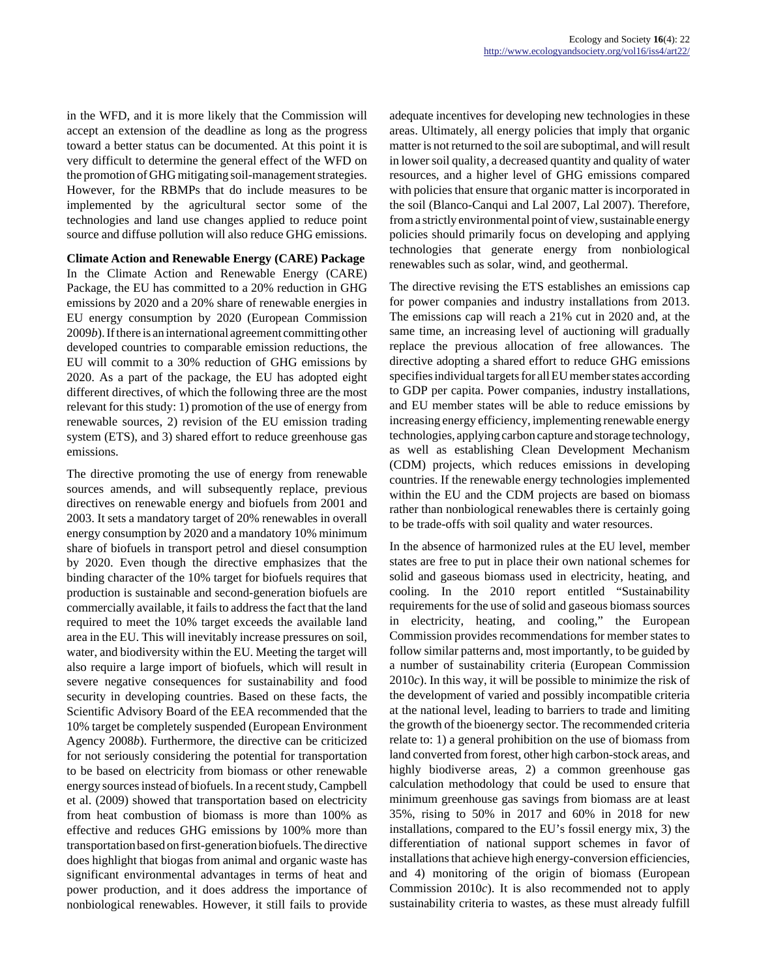in the WFD, and it is more likely that the Commission will accept an extension of the deadline as long as the progress toward a better status can be documented. At this point it is very difficult to determine the general effect of the WFD on the promotion of GHG mitigating soil-management strategies. However, for the RBMPs that do include measures to be implemented by the agricultural sector some of the technologies and land use changes applied to reduce point source and diffuse pollution will also reduce GHG emissions.

# **Climate Action and Renewable Energy (CARE) Package**

In the Climate Action and Renewable Energy (CARE) Package, the EU has committed to a 20% reduction in GHG emissions by 2020 and a 20% share of renewable energies in EU energy consumption by 2020 (European Commission 2009*b*). If there is an international agreement committing other developed countries to comparable emission reductions, the EU will commit to a 30% reduction of GHG emissions by 2020. As a part of the package, the EU has adopted eight different directives, of which the following three are the most relevant for this study: 1) promotion of the use of energy from renewable sources, 2) revision of the EU emission trading system (ETS), and 3) shared effort to reduce greenhouse gas emissions.

The directive promoting the use of energy from renewable sources amends, and will subsequently replace, previous directives on renewable energy and biofuels from 2001 and 2003. It sets a mandatory target of 20% renewables in overall energy consumption by 2020 and a mandatory 10% minimum share of biofuels in transport petrol and diesel consumption by 2020. Even though the directive emphasizes that the binding character of the 10% target for biofuels requires that production is sustainable and second-generation biofuels are commercially available, it fails to address the fact that the land required to meet the 10% target exceeds the available land area in the EU. This will inevitably increase pressures on soil, water, and biodiversity within the EU. Meeting the target will also require a large import of biofuels, which will result in severe negative consequences for sustainability and food security in developing countries. Based on these facts, the Scientific Advisory Board of the EEA recommended that the 10% target be completely suspended (European Environment Agency 2008*b*). Furthermore, the directive can be criticized for not seriously considering the potential for transportation to be based on electricity from biomass or other renewable energy sources instead of biofuels. In a recent study, Campbell et al. (2009) showed that transportation based on electricity from heat combustion of biomass is more than 100% as effective and reduces GHG emissions by 100% more than transportation based on first-generation biofuels. The directive does highlight that biogas from animal and organic waste has significant environmental advantages in terms of heat and power production, and it does address the importance of nonbiological renewables. However, it still fails to provide adequate incentives for developing new technologies in these areas. Ultimately, all energy policies that imply that organic matter is not returned to the soil are suboptimal, and will result in lower soil quality, a decreased quantity and quality of water resources, and a higher level of GHG emissions compared with policies that ensure that organic matter is incorporated in the soil (Blanco-Canqui and Lal 2007, Lal 2007). Therefore, from a strictly environmental point of view, sustainable energy policies should primarily focus on developing and applying technologies that generate energy from nonbiological renewables such as solar, wind, and geothermal.

The directive revising the ETS establishes an emissions cap for power companies and industry installations from 2013. The emissions cap will reach a 21% cut in 2020 and, at the same time, an increasing level of auctioning will gradually replace the previous allocation of free allowances. The directive adopting a shared effort to reduce GHG emissions specifies individual targets for all EU member states according to GDP per capita. Power companies, industry installations, and EU member states will be able to reduce emissions by increasing energy efficiency, implementing renewable energy technologies, applying carbon capture and storage technology, as well as establishing Clean Development Mechanism (CDM) projects, which reduces emissions in developing countries. If the renewable energy technologies implemented within the EU and the CDM projects are based on biomass rather than nonbiological renewables there is certainly going to be trade-offs with soil quality and water resources.

In the absence of harmonized rules at the EU level, member states are free to put in place their own national schemes for solid and gaseous biomass used in electricity, heating, and cooling. In the 2010 report entitled "Sustainability requirements for the use of solid and gaseous biomass sources in electricity, heating, and cooling," the European Commission provides recommendations for member states to follow similar patterns and, most importantly, to be guided by a number of sustainability criteria (European Commission 2010*c*). In this way, it will be possible to minimize the risk of the development of varied and possibly incompatible criteria at the national level, leading to barriers to trade and limiting the growth of the bioenergy sector. The recommended criteria relate to: 1) a general prohibition on the use of biomass from land converted from forest, other high carbon-stock areas, and highly biodiverse areas, 2) a common greenhouse gas calculation methodology that could be used to ensure that minimum greenhouse gas savings from biomass are at least 35%, rising to 50% in 2017 and 60% in 2018 for new installations, compared to the EU's fossil energy mix, 3) the differentiation of national support schemes in favor of installations that achieve high energy-conversion efficiencies, and 4) monitoring of the origin of biomass (European Commission 2010*c*). It is also recommended not to apply sustainability criteria to wastes, as these must already fulfill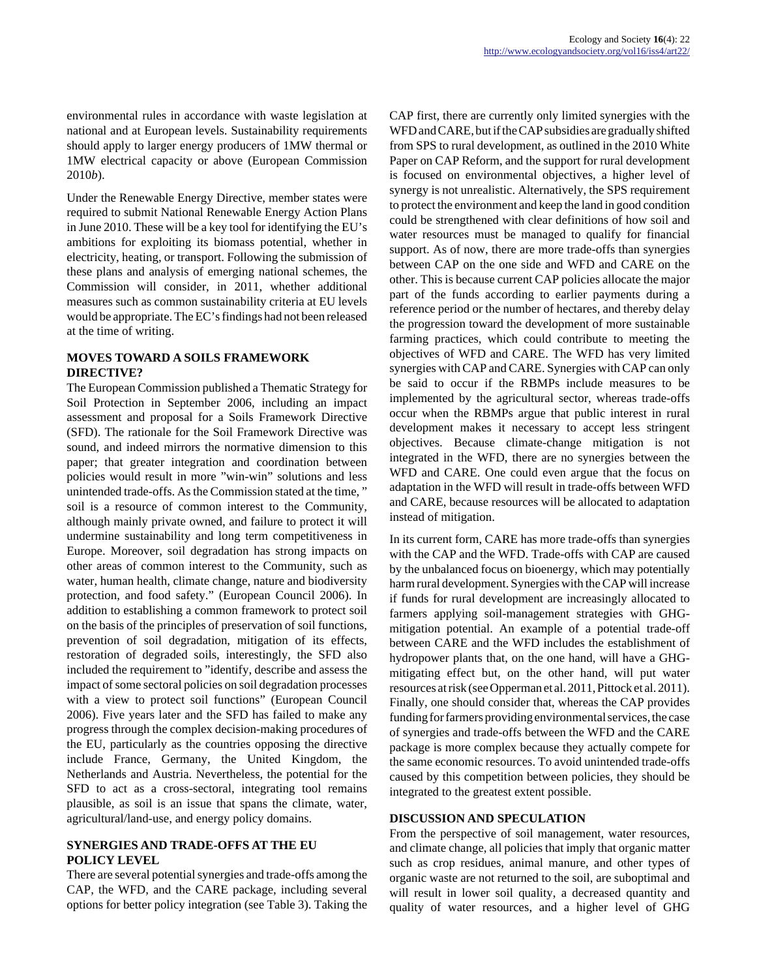environmental rules in accordance with waste legislation at national and at European levels. Sustainability requirements should apply to larger energy producers of 1MW thermal or 1MW electrical capacity or above (European Commission 2010*b*).

Under the Renewable Energy Directive, member states were required to submit National Renewable Energy Action Plans in June 2010. These will be a key tool for identifying the EU's ambitions for exploiting its biomass potential, whether in electricity, heating, or transport. Following the submission of these plans and analysis of emerging national schemes, the Commission will consider, in 2011, whether additional measures such as common sustainability criteria at EU levels would be appropriate. The EC's findings had not been released at the time of writing.

# **MOVES TOWARD A SOILS FRAMEWORK DIRECTIVE?**

The European Commission published a Thematic Strategy for Soil Protection in September 2006, including an impact assessment and proposal for a Soils Framework Directive (SFD). The rationale for the Soil Framework Directive was sound, and indeed mirrors the normative dimension to this paper; that greater integration and coordination between policies would result in more "win-win" solutions and less unintended trade-offs. As the Commission stated at the time, " soil is a resource of common interest to the Community, although mainly private owned, and failure to protect it will undermine sustainability and long term competitiveness in Europe. Moreover, soil degradation has strong impacts on other areas of common interest to the Community, such as water, human health, climate change, nature and biodiversity protection, and food safety." (European Council 2006). In addition to establishing a common framework to protect soil on the basis of the principles of preservation of soil functions, prevention of soil degradation, mitigation of its effects, restoration of degraded soils, interestingly, the SFD also included the requirement to "identify, describe and assess the impact of some sectoral policies on soil degradation processes with a view to protect soil functions" (European Council 2006). Five years later and the SFD has failed to make any progress through the complex decision-making procedures of the EU, particularly as the countries opposing the directive include France, Germany, the United Kingdom, the Netherlands and Austria. Nevertheless, the potential for the SFD to act as a cross-sectoral, integrating tool remains plausible, as soil is an issue that spans the climate, water, agricultural/land-use, and energy policy domains.

# **SYNERGIES AND TRADE-OFFS AT THE EU POLICY LEVEL**

There are several potential synergies and trade-offs among the CAP, the WFD, and the CARE package, including several options for better policy integration (see Table 3). Taking the CAP first, there are currently only limited synergies with the WFD and CARE, but if the CAP subsidies are gradually shifted from SPS to rural development, as outlined in the 2010 White Paper on CAP Reform, and the support for rural development is focused on environmental objectives, a higher level of synergy is not unrealistic. Alternatively, the SPS requirement to protect the environment and keep the land in good condition could be strengthened with clear definitions of how soil and water resources must be managed to qualify for financial support. As of now, there are more trade-offs than synergies between CAP on the one side and WFD and CARE on the other. This is because current CAP policies allocate the major part of the funds according to earlier payments during a reference period or the number of hectares, and thereby delay the progression toward the development of more sustainable farming practices, which could contribute to meeting the objectives of WFD and CARE. The WFD has very limited synergies with CAP and CARE. Synergies with CAP can only be said to occur if the RBMPs include measures to be implemented by the agricultural sector, whereas trade-offs occur when the RBMPs argue that public interest in rural development makes it necessary to accept less stringent objectives. Because climate-change mitigation is not integrated in the WFD, there are no synergies between the WFD and CARE. One could even argue that the focus on adaptation in the WFD will result in trade-offs between WFD and CARE, because resources will be allocated to adaptation instead of mitigation.

In its current form, CARE has more trade-offs than synergies with the CAP and the WFD. Trade-offs with CAP are caused by the unbalanced focus on bioenergy, which may potentially harm rural development. Synergies with the CAP will increase if funds for rural development are increasingly allocated to farmers applying soil-management strategies with GHGmitigation potential. An example of a potential trade-off between CARE and the WFD includes the establishment of hydropower plants that, on the one hand, will have a GHGmitigating effect but, on the other hand, will put water resources at risk (see Opperman et al. 2011, Pittock et al. 2011). Finally, one should consider that, whereas the CAP provides funding for farmers providing environmental services, the case of synergies and trade-offs between the WFD and the CARE package is more complex because they actually compete for the same economic resources. To avoid unintended trade-offs caused by this competition between policies, they should be integrated to the greatest extent possible.

# **DISCUSSION AND SPECULATION**

From the perspective of soil management, water resources, and climate change, all policies that imply that organic matter such as crop residues, animal manure, and other types of organic waste are not returned to the soil, are suboptimal and will result in lower soil quality, a decreased quantity and quality of water resources, and a higher level of GHG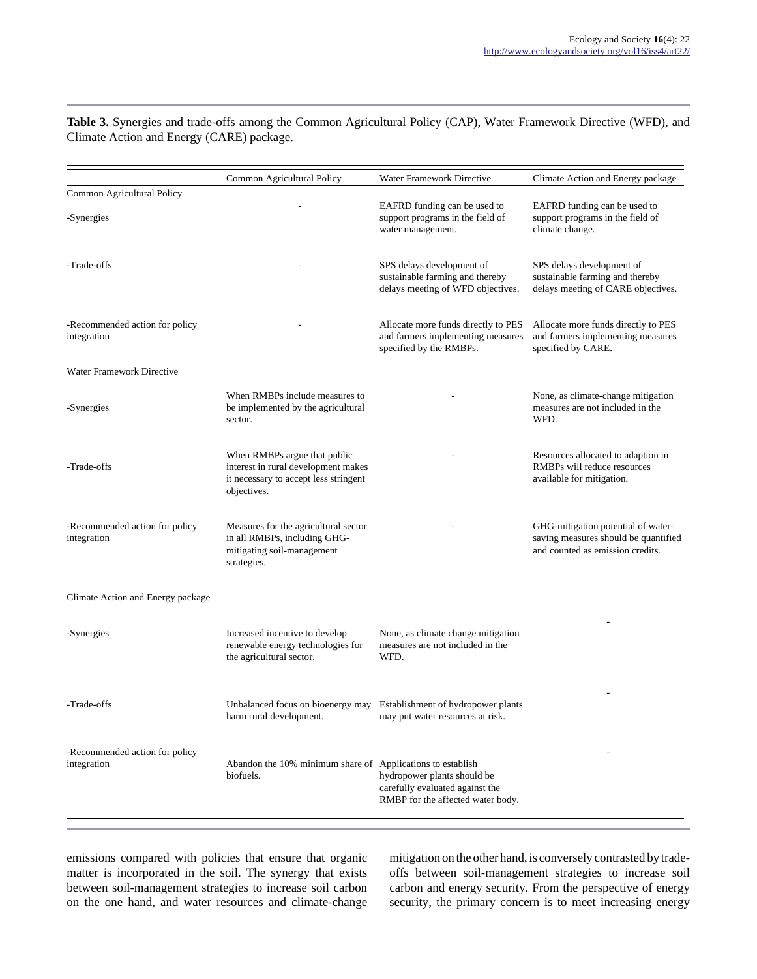# **Table 3.** Synergies and trade-offs among the Common Agricultural Policy (CAP), Water Framework Directive (WFD), and Climate Action and Energy (CARE) package.

|                                               | Common Agricultural Policy                                                                                                  | Water Framework Directive                                                                           | Climate Action and Energy package                                                                              |
|-----------------------------------------------|-----------------------------------------------------------------------------------------------------------------------------|-----------------------------------------------------------------------------------------------------|----------------------------------------------------------------------------------------------------------------|
| Common Agricultural Policy<br>-Synergies      |                                                                                                                             | EAFRD funding can be used to<br>support programs in the field of<br>water management.               | EAFRD funding can be used to<br>support programs in the field of<br>climate change.                            |
| -Trade-offs                                   |                                                                                                                             | SPS delays development of<br>sustainable farming and thereby<br>delays meeting of WFD objectives.   | SPS delays development of<br>sustainable farming and thereby<br>delays meeting of CARE objectives.             |
| -Recommended action for policy<br>integration |                                                                                                                             | Allocate more funds directly to PES<br>and farmers implementing measures<br>specified by the RMBPs. | Allocate more funds directly to PES<br>and farmers implementing measures<br>specified by CARE.                 |
| Water Framework Directive                     |                                                                                                                             |                                                                                                     |                                                                                                                |
| -Synergies                                    | When RMBPs include measures to<br>be implemented by the agricultural<br>sector.                                             |                                                                                                     | None, as climate-change mitigation<br>measures are not included in the<br>WFD.                                 |
| -Trade-offs                                   | When RMBPs argue that public<br>interest in rural development makes<br>it necessary to accept less stringent<br>objectives. |                                                                                                     | Resources allocated to adaption in<br>RMBPs will reduce resources<br>available for mitigation.                 |
| -Recommended action for policy<br>integration | Measures for the agricultural sector<br>in all RMBPs, including GHG-<br>mitigating soil-management<br>strategies.           |                                                                                                     | GHG-mitigation potential of water-<br>saving measures should be quantified<br>and counted as emission credits. |
| Climate Action and Energy package             |                                                                                                                             |                                                                                                     |                                                                                                                |
| -Synergies                                    | Increased incentive to develop<br>renewable energy technologies for<br>the agricultural sector.                             | None, as climate change mitigation<br>measures are not included in the<br>WFD.                      |                                                                                                                |
| -Trade-offs                                   | Unbalanced focus on bioenergy may<br>harm rural development.                                                                | Establishment of hydropower plants<br>may put water resources at risk.                              |                                                                                                                |
| -Recommended action for policy<br>integration | Abandon the 10% minimum share of Applications to establish<br>biofuels.                                                     | hydropower plants should be<br>carefully evaluated against the<br>RMBP for the affected water body. |                                                                                                                |

emissions compared with policies that ensure that organic matter is incorporated in the soil. The synergy that exists between soil-management strategies to increase soil carbon on the one hand, and water resources and climate-change

mitigation on the other hand, is conversely contrasted by tradeoffs between soil-management strategies to increase soil carbon and energy security. From the perspective of energy security, the primary concern is to meet increasing energy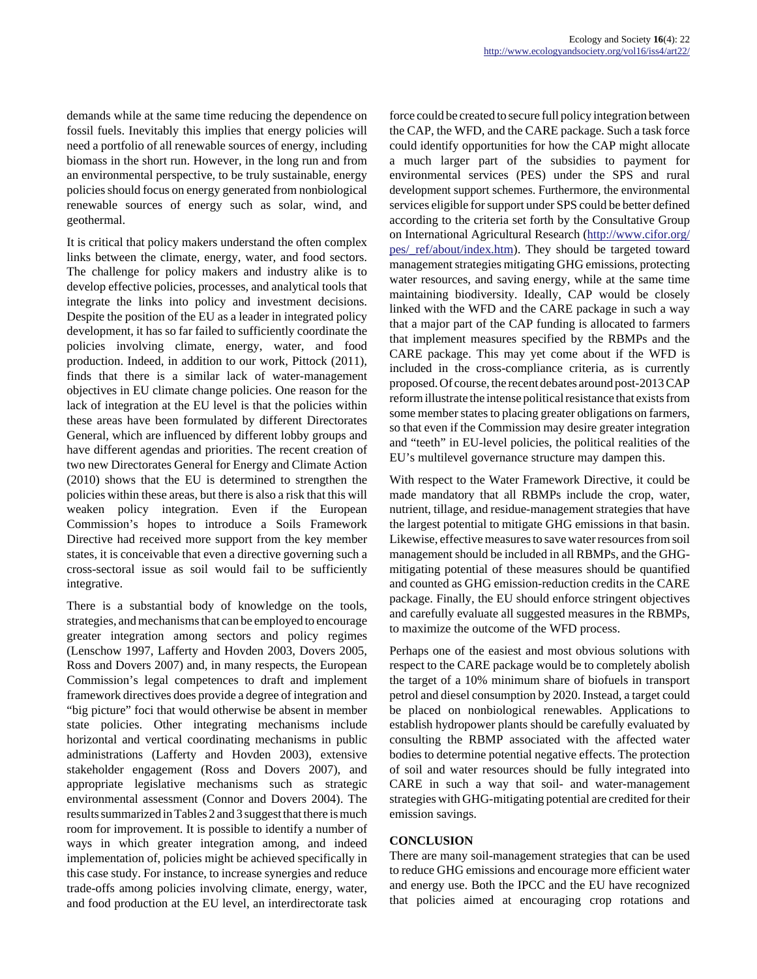demands while at the same time reducing the dependence on fossil fuels. Inevitably this implies that energy policies will need a portfolio of all renewable sources of energy, including biomass in the short run. However, in the long run and from an environmental perspective, to be truly sustainable, energy policies should focus on energy generated from nonbiological renewable sources of energy such as solar, wind, and geothermal.

It is critical that policy makers understand the often complex links between the climate, energy, water, and food sectors. The challenge for policy makers and industry alike is to develop effective policies, processes, and analytical tools that integrate the links into policy and investment decisions. Despite the position of the EU as a leader in integrated policy development, it has so far failed to sufficiently coordinate the policies involving climate, energy, water, and food production. Indeed, in addition to our work, Pittock (2011), finds that there is a similar lack of water-management objectives in EU climate change policies. One reason for the lack of integration at the EU level is that the policies within these areas have been formulated by different Directorates General, which are influenced by different lobby groups and have different agendas and priorities. The recent creation of two new Directorates General for Energy and Climate Action (2010) shows that the EU is determined to strengthen the policies within these areas, but there is also a risk that this will weaken policy integration. Even if the European Commission's hopes to introduce a Soils Framework Directive had received more support from the key member states, it is conceivable that even a directive governing such a cross-sectoral issue as soil would fail to be sufficiently integrative.

There is a substantial body of knowledge on the tools, strategies, and mechanisms that can be employed to encourage greater integration among sectors and policy regimes (Lenschow 1997, Lafferty and Hovden 2003, Dovers 2005, Ross and Dovers 2007) and, in many respects, the European Commission's legal competences to draft and implement framework directives does provide a degree of integration and "big picture" foci that would otherwise be absent in member state policies. Other integrating mechanisms include horizontal and vertical coordinating mechanisms in public administrations (Lafferty and Hovden 2003), extensive stakeholder engagement (Ross and Dovers 2007), and appropriate legislative mechanisms such as strategic environmental assessment (Connor and Dovers 2004). The results summarized in Tables 2 and 3 suggest that there is much room for improvement. It is possible to identify a number of ways in which greater integration among, and indeed implementation of, policies might be achieved specifically in this case study. For instance, to increase synergies and reduce trade-offs among policies involving climate, energy, water, and food production at the EU level, an interdirectorate task

force could be created to secure full policy integration between the CAP, the WFD, and the CARE package. Such a task force could identify opportunities for how the CAP might allocate a much larger part of the subsidies to payment for environmental services (PES) under the SPS and rural development support schemes. Furthermore, the environmental services eligible for support under SPS could be better defined according to the criteria set forth by the Consultative Group on International Agricultural Research ([http://www.cifor.org/](http://www.cifor.org/pes/_ref/about/index.htm) [pes/\\_ref/about/index.htm](http://www.cifor.org/pes/_ref/about/index.htm)). They should be targeted toward management strategies mitigating GHG emissions, protecting water resources, and saving energy, while at the same time maintaining biodiversity. Ideally, CAP would be closely linked with the WFD and the CARE package in such a way that a major part of the CAP funding is allocated to farmers that implement measures specified by the RBMPs and the CARE package. This may yet come about if the WFD is included in the cross-compliance criteria, as is currently proposed. Of course, the recent debates around post-2013 CAP reform illustrate the intense political resistance that exists from some member states to placing greater obligations on farmers, so that even if the Commission may desire greater integration and "teeth" in EU-level policies, the political realities of the EU's multilevel governance structure may dampen this.

With respect to the Water Framework Directive, it could be made mandatory that all RBMPs include the crop, water, nutrient, tillage, and residue-management strategies that have the largest potential to mitigate GHG emissions in that basin. Likewise, effective measures to save water resources from soil management should be included in all RBMPs, and the GHGmitigating potential of these measures should be quantified and counted as GHG emission-reduction credits in the CARE package. Finally, the EU should enforce stringent objectives and carefully evaluate all suggested measures in the RBMPs, to maximize the outcome of the WFD process.

Perhaps one of the easiest and most obvious solutions with respect to the CARE package would be to completely abolish the target of a 10% minimum share of biofuels in transport petrol and diesel consumption by 2020. Instead, a target could be placed on nonbiological renewables. Applications to establish hydropower plants should be carefully evaluated by consulting the RBMP associated with the affected water bodies to determine potential negative effects. The protection of soil and water resources should be fully integrated into CARE in such a way that soil- and water-management strategies with GHG-mitigating potential are credited for their emission savings.

### **CONCLUSION**

There are many soil-management strategies that can be used to reduce GHG emissions and encourage more efficient water and energy use. Both the IPCC and the EU have recognized that policies aimed at encouraging crop rotations and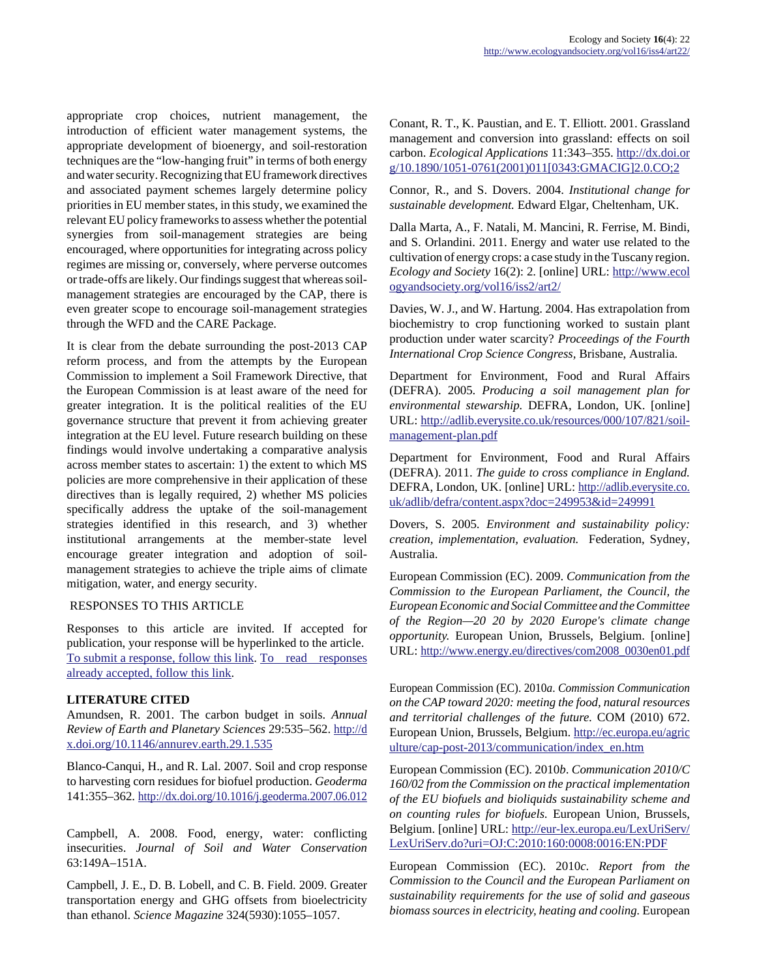appropriate crop choices, nutrient management, the introduction of efficient water management systems, the appropriate development of bioenergy, and soil-restoration techniques are the "low-hanging fruit" in terms of both energy and water security. Recognizing that EU framework directives and associated payment schemes largely determine policy priorities in EU member states, in this study, we examined the relevant EU policy frameworks to assess whether the potential synergies from soil-management strategies are being encouraged, where opportunities for integrating across policy regimes are missing or, conversely, where perverse outcomes or trade-offs are likely. Our findings suggest that whereas soilmanagement strategies are encouraged by the CAP, there is even greater scope to encourage soil-management strategies through the WFD and the CARE Package.

It is clear from the debate surrounding the post-2013 CAP reform process, and from the attempts by the European Commission to implement a Soil Framework Directive, that the European Commission is at least aware of the need for greater integration. It is the political realities of the EU governance structure that prevent it from achieving greater integration at the EU level. Future research building on these findings would involve undertaking a comparative analysis across member states to ascertain: 1) the extent to which MS policies are more comprehensive in their application of these directives than is legally required, 2) whether MS policies specifically address the uptake of the soil-management strategies identified in this research, and 3) whether institutional arrangements at the member-state level encourage greater integration and adoption of soilmanagement strategies to achieve the triple aims of climate mitigation, water, and energy security.

### RESPONSES TO THIS ARTICLE

Responses to this article are invited. If accepted for publication, your response will be hyperlinked to the article. [To submit a response, follow this link](http://www.ecologyandsociety.org/responses.php?articleid=4176&mode=add). [To read responses](http://www.ecologyandsociety.org/responses.php?articleid=4176) [already accepted, follow this link](http://www.ecologyandsociety.org/responses.php?articleid=4176).

# **LITERATURE CITED**

Amundsen, R. 2001. The carbon budget in soils. *Annual Review of Earth and Planetary Sciences* 29:535–562. [http://d](http://dx.doi.org/10.1146/annurev.earth.29.1.535) [x.doi.org/10.1146/annurev.earth.29.1.535](http://dx.doi.org/10.1146/annurev.earth.29.1.535)

Blanco-Canqui, H., and R. Lal. 2007. Soil and crop response to harvesting corn residues for biofuel production. *Geoderma* 141:355–362. <http://dx.doi.org/10.1016/j.geoderma.2007.06.012>

Campbell, A. 2008. Food, energy, water: conflicting insecurities. *Journal of Soil and Water Conservation* 63:149A–151A.

Campbell, J. E., D. B. Lobell, and C. B. Field. 2009. Greater transportation energy and GHG offsets from bioelectricity than ethanol. *Science Magazine* 324(5930):1055–1057.

Conant, R. T., K. Paustian, and E. T. Elliott. 2001. Grassland management and conversion into grassland: effects on soil carbon. *Ecological Applications* 11:343–355. [http://dx.doi.or](http://dx.doi.org/10.1890/1051-0761(2001)011[0343:GMACIG]2.0.CO;2) [g/10.1890/1051-0761\(2001\)011\[0343:GMACIG\]2.0.CO;2](http://dx.doi.org/10.1890/1051-0761(2001)011[0343:GMACIG]2.0.CO;2)

Connor, R., and S. Dovers. 2004. *Institutional change for sustainable development.* Edward Elgar, Cheltenham, UK.

Dalla Marta, A., F. Natali, M. Mancini, R. Ferrise, M. Bindi, and S. Orlandini. 2011. Energy and water use related to the cultivation of energy crops: a case study in the Tuscany region. *Ecology and Society* 16(2): 2. [online] URL: [http://www.ecol](http://www.ecologyandsociety.org/vol16/iss2/art2/) [ogyandsociety.org/vol16/iss2/art2/](http://www.ecologyandsociety.org/vol16/iss2/art2/)

Davies, W. J., and W. Hartung. 2004. Has extrapolation from biochemistry to crop functioning worked to sustain plant production under water scarcity? *Proceedings of the Fourth International Crop Science Congress,* Brisbane, Australia.

Department for Environment, Food and Rural Affairs (DEFRA). 2005. *Producing a soil management plan for environmental stewarship.* DEFRA, London, UK. [online] URL: [http://adlib.everysite.co.uk/resources/000/107/821/soil](http://adlib.everysite.co.uk/resources/000/107/821/soil-management-plan.pdf)[management-plan.pdf](http://adlib.everysite.co.uk/resources/000/107/821/soil-management-plan.pdf)

Department for Environment, Food and Rural Affairs (DEFRA). 2011. *The guide to cross compliance in England.* DEFRA, London, UK. [online] URL: [http://adlib.everysite.co.](http://adlib.everysite.co.uk/adlib/defra/content.aspx?doc=249953&id=249991) [uk/adlib/defra/content.aspx?doc=249953&id=249991](http://adlib.everysite.co.uk/adlib/defra/content.aspx?doc=249953&id=249991)

Dovers, S. 2005. *Environment and sustainability policy: creation, implementation, evaluation.* Federation, Sydney, Australia.

European Commission (EC). 2009. *Communication from the Commission to the European Parliament, the Council, the European Economic and Social Committee and the Committee of the Region—20 20 by 2020 Europe's climate change opportunity.* European Union, Brussels, Belgium. [online] URL: [http://www.energy.eu/directives/com2008\\_0030en01.pdf](http://www.energy.eu/directives/com2008_0030en01.pdf)

European Commission (EC). 2010*a*. *Commission Communication on the CAP toward 2020: meeting the food, natural resources and territorial challenges of the future.* COM (2010) 672. European Union, Brussels, Belgium. [http://ec.europa.eu/agric](http://ec.europa.eu/agriculture/cap-post-2013/communication/index_en.htm) [ulture/cap-post-2013/communication/index\\_en.htm](http://ec.europa.eu/agriculture/cap-post-2013/communication/index_en.htm)

European Commission (EC). 2010*b*. *Communication 2010/C 160/02 from the Commission on the practical implementation of the EU biofuels and bioliquids sustainability scheme and on counting rules for biofuels.* European Union, Brussels, Belgium. [online] URL: [http://eur-lex.europa.eu/LexUriServ/](http://eur-lex.europa.eu/LexUriServ/LexUriServ.do?uri=OJ:C:2010:160:0008:0016:EN:PDF) [LexUriServ.do?uri=OJ:C:2010:160:0008:0016:EN:PDF](http://eur-lex.europa.eu/LexUriServ/LexUriServ.do?uri=OJ:C:2010:160:0008:0016:EN:PDF)

European Commission (EC). 2010*c*. *Report from the Commission to the Council and the European Parliament on sustainability requirements for the use of solid and gaseous biomass sources in electricity, heating and cooling.* European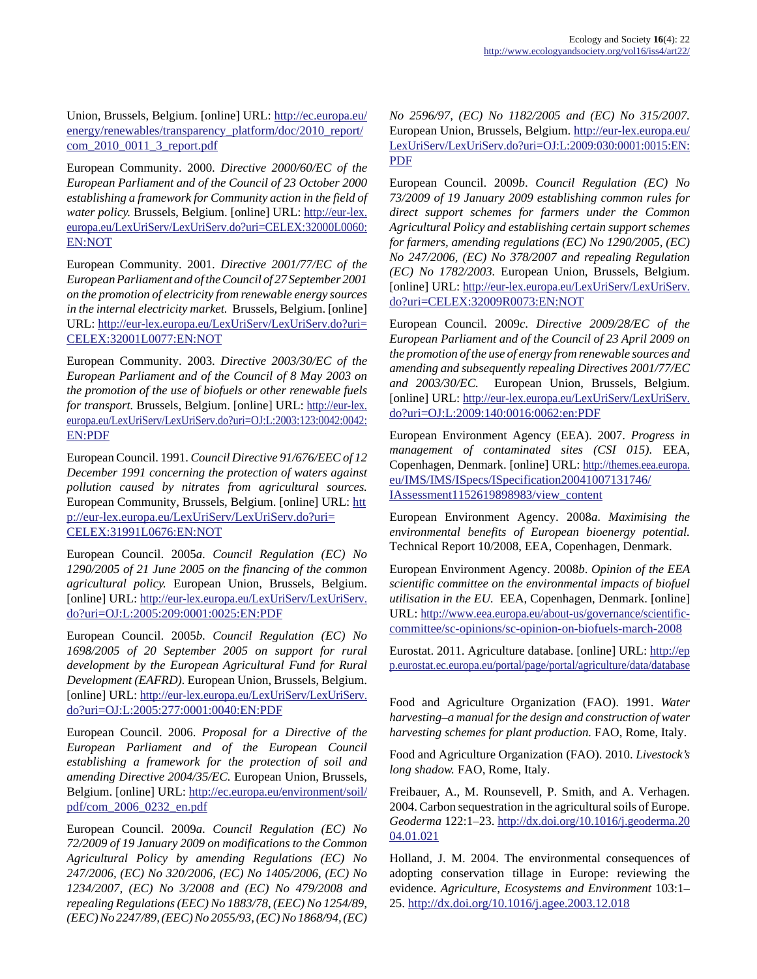Union, Brussels, Belgium. [online] URL: [http://ec.europa.eu/](http://ec.europa.eu/energy/renewables/transparency_platform/doc/2010_report/com_2010_0011_3_report.pdf) energy/renewables/transparency\_platform/doc/2010\_report/ com\_2010\_0011\_3\_report.pdf

European Community. 2000. *Directive 2000/60/EC of the European Parliament and of the Council of 23 October 2000 establishing a framework for Community action in the field of water policy.* Brussels, Belgium. [online] URL: [http://eur-lex.](http://eur-lex.europa.eu/LexUriServ/LexUriServ.do?uri=CELEX:32000L0060:EN:NOT) europa.eu/LexUriServ/LexUriServ.do?uri=CELEX:32000L0060: [EN:NOT](http://eur-lex.europa.eu/LexUriServ/LexUriServ.do?uri=CELEX:32000L0060:EN:NOT)

European Community. 2001. *Directive 2001/77/EC of the European Parliament and of the Council of 27 September 2001 on the promotion of electricity from renewable energy sources in the internal electricity market.* Brussels, Belgium. [online] URL: [http://eur-lex.europa.eu/LexUriServ/LexUriServ.do?uri=](http://eur-lex.europa.eu/LexUriServ/LexUriServ.do?uri=CELEX:32001L0077:EN:NOT) [CELEX:32001L0077:EN:NOT](http://eur-lex.europa.eu/LexUriServ/LexUriServ.do?uri=CELEX:32001L0077:EN:NOT)

European Community. 2003. *Directive 2003/30/EC of the European Parliament and of the Council of 8 May 2003 on the promotion of the use of biofuels or other renewable fuels for transport.* Brussels, Belgium. [online] URL: [http://eur-lex.](http://eur-lex.europa.eu/LexUriServ/LexUriServ.do?uri=OJ:L:2003:123:0042:0042:EN:PDF) europa.eu/LexUriServ/LexUriServ.do?uri=OJ:L:2003:123:0042:0042: [EN:PDF](http://eur-lex.europa.eu/LexUriServ/LexUriServ.do?uri=OJ:L:2003:123:0042:0042:EN:PDF)

European Council. 1991. *Council Directive 91/676/EEC of 12 December 1991 concerning the protection of waters against pollution caused by nitrates from agricultural sources.* European Community, Brussels, Belgium. [online] URL: [htt](http://eur-lex.europa.eu/LexUriServ/LexUriServ.do?uri=CELEX:31991L0676:EN:NOT) p://eur-lex.europa.eu/LexUriServ/LexUriServ.do?uri= [CELEX:31991L0676:EN:NOT](http://eur-lex.europa.eu/LexUriServ/LexUriServ.do?uri=CELEX:31991L0676:EN:NOT)

European Council. 2005*a*. *Council Regulation (EC) No 1290/2005 of 21 June 2005 on the financing of the common agricultural policy.* European Union, Brussels, Belgium. [online] URL: [http://eur-lex.europa.eu/LexUriServ/LexUriServ.](http://eur-lex.europa.eu/LexUriServ/LexUriServ.do?uri=OJ:L:2005:209:0001:0025:EN:PDF) [do?uri=OJ:L:2005:209:0001:0025:EN:PDF](http://eur-lex.europa.eu/LexUriServ/LexUriServ.do?uri=OJ:L:2005:209:0001:0025:EN:PDF)

European Council. 2005*b*. *Council Regulation (EC) No 1698/2005 of 20 September 2005 on support for rural development by the European Agricultural Fund for Rural Development (EAFRD).* European Union, Brussels, Belgium. [online] URL: [http://eur-lex.europa.eu/LexUriServ/LexUriServ.](http://eur-lex.europa.eu/LexUriServ/LexUriServ.do?uri=OJ:L:2005:277:0001:0040:EN:PDF) [do?uri=OJ:L:2005:277:0001:0040:EN:PDF](http://eur-lex.europa.eu/LexUriServ/LexUriServ.do?uri=OJ:L:2005:277:0001:0040:EN:PDF)

European Council. 2006. *Proposal for a Directive of the European Parliament and of the European Council establishing a framework for the protection of soil and amending Directive 2004/35/EC.* European Union, Brussels, Belgium. [online] URL: [http://ec.europa.eu/environment/soil/](http://ec.europa.eu/environment/soil/pdf/com_2006_0232_en.pdf) [pdf/com\\_2006\\_0232\\_en.pdf](http://ec.europa.eu/environment/soil/pdf/com_2006_0232_en.pdf) 

European Council. 2009*a*. *Council Regulation (EC) No 72/2009 of 19 January 2009 on modifications to the Common Agricultural Policy by amending Regulations (EC) No 247/2006, (EC) No 320/2006, (EC) No 1405/2006, (EC) No 1234/2007, (EC) No 3/2008 and (EC) No 479/2008 and repealing Regulations (EEC) No 1883/78, (EEC) No 1254/89, (EEC) No 2247/89, (EEC) No 2055/93, (EC) No 1868/94, (EC)*

*No 2596/97, (EC) No 1182/2005 and (EC) No 315/2007.* European Union, Brussels, Belgium. [http://eur-lex.europa.eu/](http://eur-lex.europa.eu/LexUriServ/LexUriServ.do?uri=OJ:L:2009:030:0001:0015:EN:PDF) LexUriServ/LexUriServ.do?uri=OJ:L:2009:030:0001:0015:EN: [PDF](http://eur-lex.europa.eu/LexUriServ/LexUriServ.do?uri=OJ:L:2009:030:0001:0015:EN:PDF)

European Council. 2009*b*. *Council Regulation (EC) No 73/2009 of 19 January 2009 establishing common rules for direct support schemes for farmers under the Common Agricultural Policy and establishing certain support schemes for farmers, amending regulations (EC) No 1290/2005, (EC) No 247/2006, (EC) No 378/2007 and repealing Regulation (EC) No 1782/2003.* European Union, Brussels, Belgium. [online] URL: [http://eur-lex.europa.eu/LexUriServ/LexUriServ.](http://eur-lex.europa.eu/LexUriServ/LexUriServ.do?uri=CELEX:32009R0073:EN:NOT) [do?uri=CELEX:32009R0073:EN:NOT](http://eur-lex.europa.eu/LexUriServ/LexUriServ.do?uri=CELEX:32009R0073:EN:NOT)

European Council. 2009*c*. *Directive 2009/28/EC of the European Parliament and of the Council of 23 April 2009 on the promotion of the use of energy from renewable sources and amending and subsequently repealing Directives 2001/77/EC and 2003/30/EC.* European Union, Brussels, Belgium. [online] URL: [http://eur-lex.europa.eu/LexUriServ/LexUriServ.](http://eur-lex.europa.eu/LexUriServ/LexUriServ.do?uri=OJ:L:2009:140:0016:0062:en:PDF) [do?uri=OJ:L:2009:140:0016:0062:en:PDF](http://eur-lex.europa.eu/LexUriServ/LexUriServ.do?uri=OJ:L:2009:140:0016:0062:en:PDF) 

European Environment Agency (EEA). 2007. *Progress in management of contaminated sites (CSI 015).* EEA, Copenhagen, Denmark. [online] URL: [http://themes.eea.europa.](http://themes.eea.europa.eu/IMS/IMS/ISpecs/ISpecification20041007131746/IAssessment1152619898983/view_content) eu/IMS/IMS/ISpecs/ISpecification20041007131746/ [IAssessment1152619898983/view\\_content](http://themes.eea.europa.eu/IMS/IMS/ISpecs/ISpecification20041007131746/IAssessment1152619898983/view_content)

European Environment Agency. 2008*a*. *Maximising the environmental benefits of European bioenergy potential.* Technical Report 10/2008, EEA, Copenhagen, Denmark.

European Environment Agency. 2008*b*. *Opinion of the EEA scientific committee on the environmental impacts of biofuel utilisation in the EU.* EEA, Copenhagen, Denmark. [online] URL: [http://www.eea.europa.eu/about-us/governance/scientific](http://www.eea.europa.eu/about-us/governance/scientific-committee/sc-opinions/sc-opinion-on-biofuels-march-2008)[committee/sc-opinions/sc-opinion-on-biofuels-march-2008](http://www.eea.europa.eu/about-us/governance/scientific-committee/sc-opinions/sc-opinion-on-biofuels-march-2008)

Eurostat. 2011. Agriculture database. [online] URL: [http://ep](http://epp.eurostat.ec.europa.eu/portal/page/portal/agriculture/data/database) [p.eurostat.ec.europa.eu/portal/page/portal/agriculture/data/database](http://epp.eurostat.ec.europa.eu/portal/page/portal/agriculture/data/database)

Food and Agriculture Organization (FAO). 1991. *Water harvesting–a manual for the design and construction of water harvesting schemes for plant production.* FAO, Rome, Italy.

Food and Agriculture Organization (FAO). 2010. *Livestock's long shadow.* FAO, Rome, Italy.

Freibauer, A., M. Rounsevell, P. Smith, and A. Verhagen. 2004. Carbon sequestration in the agricultural soils of Europe. *Geoderma* 122:1–23. [http://dx.doi.org/10.1016/j.geoderma.20](http://dx.doi.org/10.1016/j.geoderma.2004.01.021) [04.01.021](http://dx.doi.org/10.1016/j.geoderma.2004.01.021)

Holland, J. M. 2004. The environmental consequences of adopting conservation tillage in Europe: reviewing the evidence. *Agriculture, Ecosystems and Environment* 103:1– 25.<http://dx.doi.org/10.1016/j.agee.2003.12.018>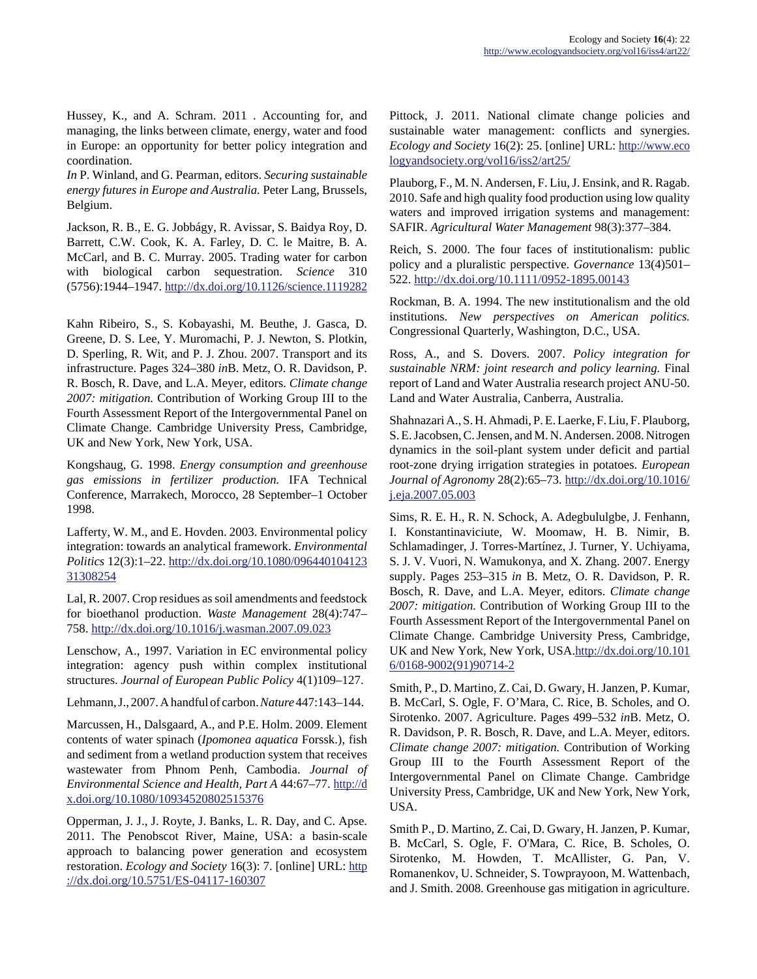Hussey, K., and A. Schram. 2011 . Accounting for, and managing, the links between climate, energy, water and food in Europe: an opportunity for better policy integration and coordination.

*In* P. Winland, and G. Pearman, editors. *Securing sustainable energy futures in Europe and Australia.* Peter Lang, Brussels, Belgium.

Jackson, R. B., E. G. Jobbágy, R. Avissar, S. Baidya Roy, D. Barrett, C.W. Cook, K. A. Farley, D. C. le Maitre, B. A. McCarl, and B. C. Murray. 2005. Trading water for carbon with biological carbon sequestration. *Science* 310 (5756):1944–1947.<http://dx.doi.org/10.1126/science.1119282>

Kahn Ribeiro, S., S. Kobayashi, M. Beuthe, J. Gasca, D. Greene, D. S. Lee, Y. Muromachi, P. J. Newton, S. Plotkin, D. Sperling, R. Wit, and P. J. Zhou. 2007. Transport and its infrastructure. Pages 324–380 *in*B. Metz, O. R. Davidson, P. R. Bosch, R. Dave, and L.A. Meyer, editors. *Climate change 2007: mitigation.* Contribution of Working Group III to the Fourth Assessment Report of the Intergovernmental Panel on Climate Change. Cambridge University Press, Cambridge, UK and New York, New York, USA.

Kongshaug, G. 1998. *Energy consumption and greenhouse gas emissions in fertilizer production.* IFA Technical Conference, Marrakech, Morocco, 28 September–1 October 1998.

Lafferty, W. M., and E. Hovden. 2003. Environmental policy integration: towards an analytical framework. *Environmental Politics* 12(3):1–22. [http://dx.doi.org/10.1080/096440104123](http://dx.doi.org/10.1080/09644010412331308254) [31308254](http://dx.doi.org/10.1080/09644010412331308254)

Lal, R. 2007. Crop residues as soil amendments and feedstock for bioethanol production. *Waste Management* 28(4):747– 758.<http://dx.doi.org/10.1016/j.wasman.2007.09.023>

Lenschow, A., 1997. Variation in EC environmental policy integration: agency push within complex institutional structures. *Journal of European Public Policy* 4(1)109–127.

Lehmann, J., 2007. A handful of carbon. *Nature* 447:143–144.

Marcussen, H., Dalsgaard, A., and P.E. Holm. 2009. Element contents of water spinach (*Ipomonea aquatica* Forssk.), fish and sediment from a wetland production system that receives wastewater from Phnom Penh, Cambodia. *Journal of Environmental Science and Health, Part A* 44:67–77. [http://d](http://dx.doi.org/10.1080/10934520802515376) [x.doi.org/10.1080/10934520802515376](http://dx.doi.org/10.1080/10934520802515376)

Opperman, J. J., J. Royte, J. Banks, L. R. Day, and C. Apse. 2011. The Penobscot River, Maine, USA: a basin-scale approach to balancing power generation and ecosystem restoration. *Ecology and Society* 16(3): 7. [online] URL: [http](http://dx.doi.org/10.5751/ES-04117-160307) [://dx.doi.org/10.5751/ES-04117-160307](http://dx.doi.org/10.5751/ES-04117-160307)

Pittock, J. 2011. National climate change policies and sustainable water management: conflicts and synergies. *Ecology and Society* 16(2): 25. [online] URL: [http://www.eco](http://www.ecologyandsociety.org/vol16/iss2/art25/) [logyandsociety.org/vol16/iss2/art25/](http://www.ecologyandsociety.org/vol16/iss2/art25/)

Plauborg, F., M. N. Andersen, F. Liu, J. Ensink, and R. Ragab. 2010. Safe and high quality food production using low quality waters and improved irrigation systems and management: SAFIR. *Agricultural Water Management* 98(3):377–384.

Reich, S. 2000. The four faces of institutionalism: public policy and a pluralistic perspective. *Governance* 13(4)501– 522. <http://dx.doi.org/10.1111/0952-1895.00143>

Rockman, B. A. 1994. The new institutionalism and the old institutions. *New perspectives on American politics.* Congressional Quarterly, Washington, D.C., USA.

Ross, A., and S. Dovers. 2007. *Policy integration for sustainable NRM: joint research and policy learning.* Final report of Land and Water Australia research project ANU-50. Land and Water Australia, Canberra, Australia.

Shahnazari A., S. H. Ahmadi, P. E. Laerke, F. Liu, F. Plauborg, S. E. Jacobsen, C. Jensen, and M. N. Andersen. 2008. Nitrogen dynamics in the soil-plant system under deficit and partial root-zone drying irrigation strategies in potatoes. *European Journal of Agronomy* 28(2):65–73. [http://dx.doi.org/10.1016/](http://dx.doi.org/10.1016/j.eja.2007.05.003) [j.eja.2007.05.003](http://dx.doi.org/10.1016/j.eja.2007.05.003)

Sims, R. E. H., R. N. Schock, A. Adegbululgbe, J. Fenhann, I. Konstantinaviciute, W. Moomaw, H. B. Nimir, B. Schlamadinger, J. Torres-Martínez, J. Turner, Y. Uchiyama, S. J. V. Vuori, N. Wamukonya, and X. Zhang. 2007. Energy supply. Pages 253–315 *in* B. Metz, O. R. Davidson, P. R. Bosch, R. Dave, and L.A. Meyer, editors. *Climate change 2007: mitigation.* Contribution of Working Group III to the Fourth Assessment Report of the Intergovernmental Panel on Climate Change. Cambridge University Press, Cambridge, UK and New York, New York, USA[.http://dx.doi.org/10.101](http://dx.doi.org/10.1016/0168-9002(91)90714-2) [6/0168-9002\(91\)90714-2](http://dx.doi.org/10.1016/0168-9002(91)90714-2)

Smith, P., D. Martino, Z. Cai, D. Gwary, H. Janzen, P. Kumar, B. McCarl, S. Ogle, F. O'Mara, C. Rice, B. Scholes, and O. Sirotenko. 2007. Agriculture. Pages 499–532 *in*B. Metz, O. R. Davidson, P. R. Bosch, R. Dave, and L.A. Meyer, editors. *Climate change 2007: mitigation.* Contribution of Working Group III to the Fourth Assessment Report of the Intergovernmental Panel on Climate Change. Cambridge University Press, Cambridge, UK and New York, New York, USA.

Smith P., D. Martino, Z. Cai, D. Gwary, H. Janzen, P. Kumar, B. McCarl, S. Ogle, F. O'Mara, C. Rice, B. Scholes, O. Sirotenko, M. Howden, T. McAllister, G. Pan, V. Romanenkov, U. Schneider, S. Towprayoon, M. Wattenbach, and J. Smith. 2008. Greenhouse gas mitigation in agriculture.